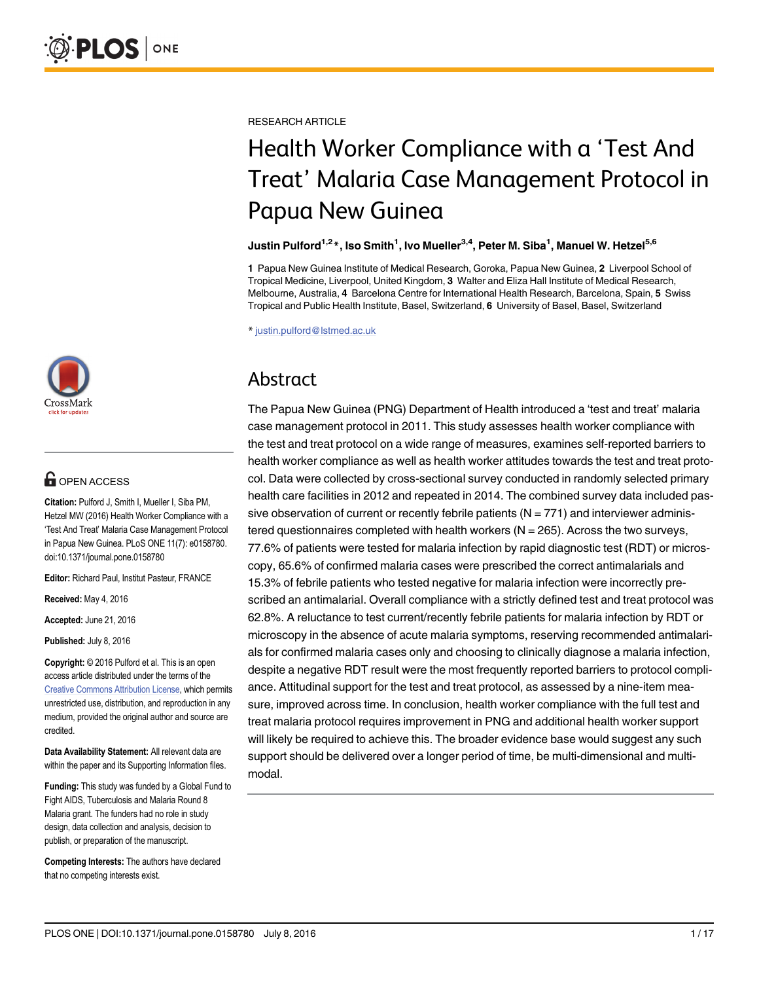

# **OPEN ACCESS**

Citation: Pulford J, Smith I, Mueller I, Siba PM, Hetzel MW (2016) Health Worker Compliance with a 'Test And Treat' Malaria Case Management Protocol in Papua New Guinea. PLoS ONE 11(7): e0158780. doi:10.1371/journal.pone.0158780

Editor: Richard Paul, Institut Pasteur, FRANCE

Received: May 4, 2016

Accepted: June 21, 2016

Published: July 8, 2016

Copyright: © 2016 Pulford et al. This is an open access article distributed under the terms of the [Creative Commons Attribution License,](http://creativecommons.org/licenses/by/4.0/) which permits unrestricted use, distribution, and reproduction in any medium, provided the original author and source are credited.

Data Availability Statement: All relevant data are within the paper and its Supporting Information files.

Funding: This study was funded by a Global Fund to Fight AIDS, Tuberculosis and Malaria Round 8 Malaria grant. The funders had no role in study design, data collection and analysis, decision to publish, or preparation of the manuscript.

Competing Interests: The authors have declared that no competing interests exist.

RESEARCH ARTICLE

# Health Worker Compliance with a 'Test And Treat' Malaria Case Management Protocol in Papua New Guinea

Justin Pulford $^{1,2\, *}$ , Iso Smith $^{1}$ , Ivo Mueller $^{3,4}$ , Peter M. Siba $^{1}$ , Manuel W. Hetzel $^{5,6}$ 

1 Papua New Guinea Institute of Medical Research, Goroka, Papua New Guinea, 2 Liverpool School of Tropical Medicine, Liverpool, United Kingdom, 3 Walter and Eliza Hall Institute of Medical Research, Melbourne, Australia, 4 Barcelona Centre for International Health Research, Barcelona, Spain, 5 Swiss Tropical and Public Health Institute, Basel, Switzerland, 6 University of Basel, Basel, Switzerland

\* justin.pulford@lstmed.ac.uk

# Abstract

The Papua New Guinea (PNG) Department of Health introduced a 'test and treat' malaria case management protocol in 2011. This study assesses health worker compliance with the test and treat protocol on a wide range of measures, examines self-reported barriers to health worker compliance as well as health worker attitudes towards the test and treat protocol. Data were collected by cross-sectional survey conducted in randomly selected primary health care facilities in 2012 and repeated in 2014. The combined survey data included passive observation of current or recently febrile patients ( $N = 771$ ) and interviewer administered questionnaires completed with health workers  $(N = 265)$ . Across the two surveys, 77.6% of patients were tested for malaria infection by rapid diagnostic test (RDT) or microscopy, 65.6% of confirmed malaria cases were prescribed the correct antimalarials and 15.3% of febrile patients who tested negative for malaria infection were incorrectly prescribed an antimalarial. Overall compliance with a strictly defined test and treat protocol was 62.8%. A reluctance to test current/recently febrile patients for malaria infection by RDT or microscopy in the absence of acute malaria symptoms, reserving recommended antimalarials for confirmed malaria cases only and choosing to clinically diagnose a malaria infection, despite a negative RDT result were the most frequently reported barriers to protocol compliance. Attitudinal support for the test and treat protocol, as assessed by a nine-item measure, improved across time. In conclusion, health worker compliance with the full test and treat malaria protocol requires improvement in PNG and additional health worker support will likely be required to achieve this. The broader evidence base would suggest any such support should be delivered over a longer period of time, be multi-dimensional and multimodal.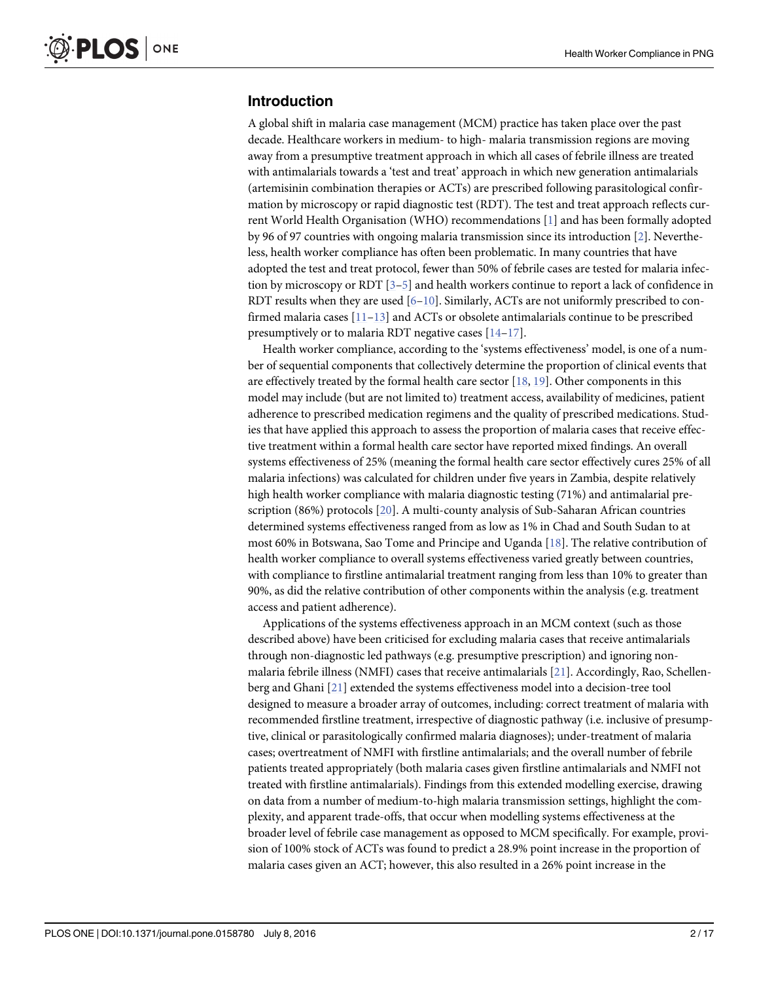### <span id="page-1-0"></span>Introduction

A global shift in malaria case management (MCM) practice has taken place over the past decade. Healthcare workers in medium- to high- malaria transmission regions are moving away from a presumptive treatment approach in which all cases of febrile illness are treated with antimalarials towards a 'test and treat' approach in which new generation antimalarials (artemisinin combination therapies or ACTs) are prescribed following parasitological confirmation by microscopy or rapid diagnostic test (RDT). The test and treat approach reflects current World Health Organisation (WHO) recommendations [[1\]](#page-13-0) and has been formally adopted by 96 of 97 countries with ongoing malaria transmission since its introduction [[2](#page-13-0)]. Nevertheless, health worker compliance has often been problematic. In many countries that have adopted the test and treat protocol, fewer than 50% of febrile cases are tested for malaria infection by microscopy or RDT  $[3-5]$  $[3-5]$  $[3-5]$  $[3-5]$  $[3-5]$  and health workers continue to report a lack of confidence in RDT results when they are used  $[6-10]$  $[6-10]$  $[6-10]$ . Similarly, ACTs are not uniformly prescribed to confirmed malaria cases  $[11-13]$  $[11-13]$  $[11-13]$  $[11-13]$  $[11-13]$  and ACTs or obsolete antimalarials continue to be prescribed presumptively or to malaria RDT negative cases  $[14-17]$  $[14-17]$  $[14-17]$  $[14-17]$  $[14-17]$ .

Health worker compliance, according to the 'systems effectiveness' model, is one of a number of sequential components that collectively determine the proportion of clinical events that are effectively treated by the formal health care sector  $[18, 19]$  $[18, 19]$  $[18, 19]$ . Other components in this model may include (but are not limited to) treatment access, availability of medicines, patient adherence to prescribed medication regimens and the quality of prescribed medications. Studies that have applied this approach to assess the proportion of malaria cases that receive effective treatment within a formal health care sector have reported mixed findings. An overall systems effectiveness of 25% (meaning the formal health care sector effectively cures 25% of all malaria infections) was calculated for children under five years in Zambia, despite relatively high health worker compliance with malaria diagnostic testing (71%) and antimalarial prescription (86%) protocols  $[20]$  $[20]$  $[20]$ . A multi-county analysis of Sub-Saharan African countries determined systems effectiveness ranged from as low as 1% in Chad and South Sudan to at most 60% in Botswana, Sao Tome and Principe and Uganda [\[18\]](#page-14-0). The relative contribution of health worker compliance to overall systems effectiveness varied greatly between countries, with compliance to firstline antimalarial treatment ranging from less than 10% to greater than 90%, as did the relative contribution of other components within the analysis (e.g. treatment access and patient adherence).

Applications of the systems effectiveness approach in an MCM context (such as those described above) have been criticised for excluding malaria cases that receive antimalarials through non-diagnostic led pathways (e.g. presumptive prescription) and ignoring nonmalaria febrile illness (NMFI) cases that receive antimalarials [\[21\]](#page-14-0). Accordingly, Rao, Schellenberg and Ghani [\[21\]](#page-14-0) extended the systems effectiveness model into a decision-tree tool designed to measure a broader array of outcomes, including: correct treatment of malaria with recommended firstline treatment, irrespective of diagnostic pathway (i.e. inclusive of presumptive, clinical or parasitologically confirmed malaria diagnoses); under-treatment of malaria cases; overtreatment of NMFI with firstline antimalarials; and the overall number of febrile patients treated appropriately (both malaria cases given firstline antimalarials and NMFI not treated with firstline antimalarials). Findings from this extended modelling exercise, drawing on data from a number of medium-to-high malaria transmission settings, highlight the complexity, and apparent trade-offs, that occur when modelling systems effectiveness at the broader level of febrile case management as opposed to MCM specifically. For example, provision of 100% stock of ACTs was found to predict a 28.9% point increase in the proportion of malaria cases given an ACT; however, this also resulted in a 26% point increase in the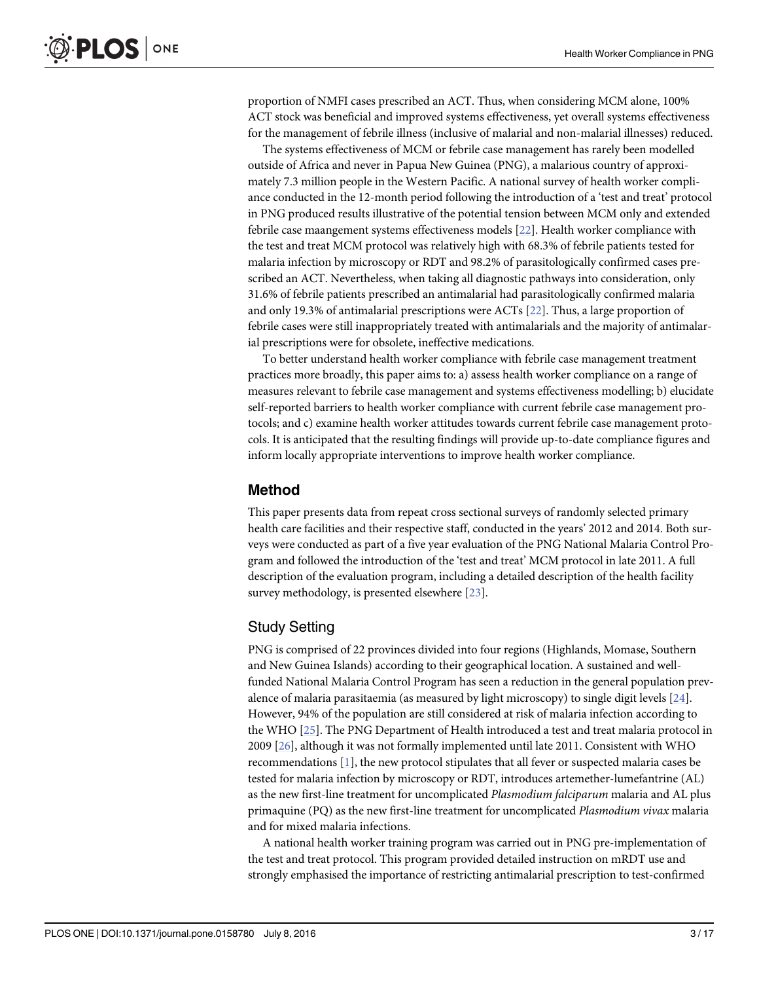<span id="page-2-0"></span>proportion of NMFI cases prescribed an ACT. Thus, when considering MCM alone, 100% ACT stock was beneficial and improved systems effectiveness, yet overall systems effectiveness for the management of febrile illness (inclusive of malarial and non-malarial illnesses) reduced.

The systems effectiveness of MCM or febrile case management has rarely been modelled outside of Africa and never in Papua New Guinea (PNG), a malarious country of approximately 7.3 million people in the Western Pacific. A national survey of health worker compliance conducted in the 12-month period following the introduction of a 'test and treat' protocol in PNG produced results illustrative of the potential tension between MCM only and extended febrile case maangement systems effectiveness models [[22\]](#page-14-0). Health worker compliance with the test and treat MCM protocol was relatively high with 68.3% of febrile patients tested for malaria infection by microscopy or RDT and 98.2% of parasitologically confirmed cases prescribed an ACT. Nevertheless, when taking all diagnostic pathways into consideration, only 31.6% of febrile patients prescribed an antimalarial had parasitologically confirmed malaria and only 19.3% of antimalarial prescriptions were ACTs [[22](#page-14-0)]. Thus, a large proportion of febrile cases were still inappropriately treated with antimalarials and the majority of antimalarial prescriptions were for obsolete, ineffective medications.

To better understand health worker compliance with febrile case management treatment practices more broadly, this paper aims to: a) assess health worker compliance on a range of measures relevant to febrile case management and systems effectiveness modelling; b) elucidate self-reported barriers to health worker compliance with current febrile case management protocols; and c) examine health worker attitudes towards current febrile case management protocols. It is anticipated that the resulting findings will provide up-to-date compliance figures and inform locally appropriate interventions to improve health worker compliance.

#### Method

This paper presents data from repeat cross sectional surveys of randomly selected primary health care facilities and their respective staff, conducted in the years' 2012 and 2014. Both surveys were conducted as part of a five year evaluation of the PNG National Malaria Control Program and followed the introduction of the 'test and treat' MCM protocol in late 2011. A full description of the evaluation program, including a detailed description of the health facility survey methodology, is presented elsewhere [[23](#page-14-0)].

## Study Setting

PNG is comprised of 22 provinces divided into four regions (Highlands, Momase, Southern and New Guinea Islands) according to their geographical location. A sustained and wellfunded National Malaria Control Program has seen a reduction in the general population prevalence of malaria parasitaemia (as measured by light microscopy) to single digit levels [\[24\]](#page-14-0). However, 94% of the population are still considered at risk of malaria infection according to the WHO [\[25\]](#page-14-0). The PNG Department of Health introduced a test and treat malaria protocol in 2009 [[26](#page-14-0)], although it was not formally implemented until late 2011. Consistent with WHO recommendations [[1\]](#page-13-0), the new protocol stipulates that all fever or suspected malaria cases be tested for malaria infection by microscopy or RDT, introduces artemether-lumefantrine (AL) as the new first-line treatment for uncomplicated Plasmodium falciparum malaria and AL plus primaquine (PQ) as the new first-line treatment for uncomplicated Plasmodium vivax malaria and for mixed malaria infections.

A national health worker training program was carried out in PNG pre-implementation of the test and treat protocol. This program provided detailed instruction on mRDT use and strongly emphasised the importance of restricting antimalarial prescription to test-confirmed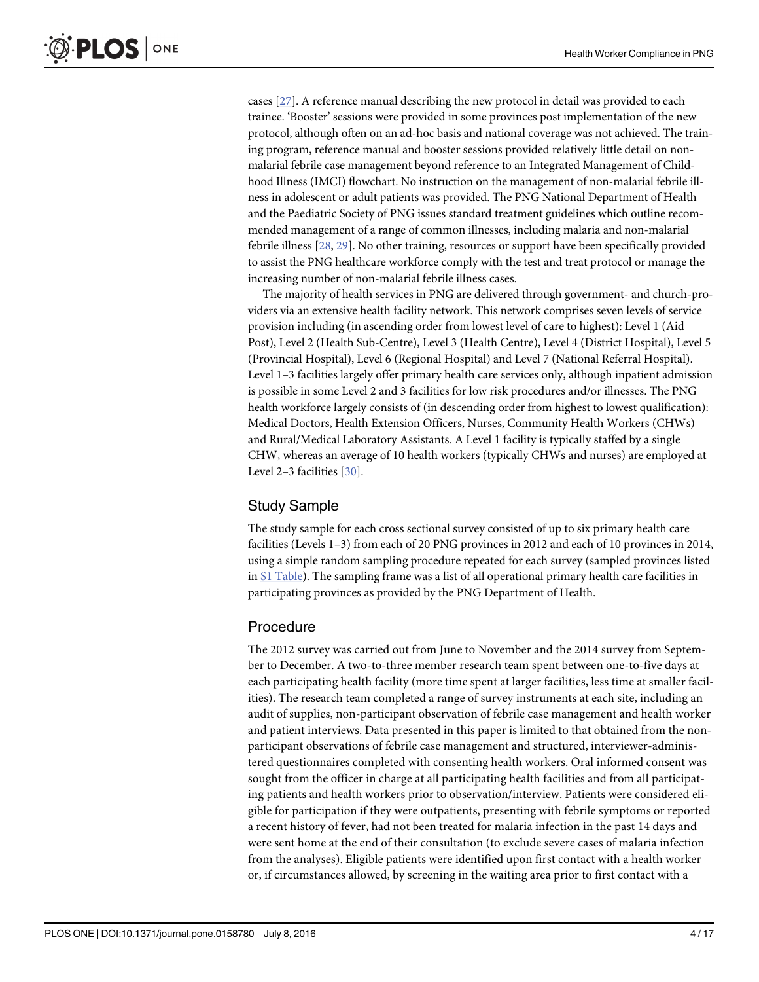<span id="page-3-0"></span>cases [[27](#page-14-0)]. A reference manual describing the new protocol in detail was provided to each trainee. 'Booster' sessions were provided in some provinces post implementation of the new protocol, although often on an ad-hoc basis and national coverage was not achieved. The training program, reference manual and booster sessions provided relatively little detail on nonmalarial febrile case management beyond reference to an Integrated Management of Childhood Illness (IMCI) flowchart. No instruction on the management of non-malarial febrile illness in adolescent or adult patients was provided. The PNG National Department of Health and the Paediatric Society of PNG issues standard treatment guidelines which outline recommended management of a range of common illnesses, including malaria and non-malarial febrile illness [\[28,](#page-15-0) [29\]](#page-15-0). No other training, resources or support have been specifically provided to assist the PNG healthcare workforce comply with the test and treat protocol or manage the increasing number of non-malarial febrile illness cases.

The majority of health services in PNG are delivered through government- and church-providers via an extensive health facility network. This network comprises seven levels of service provision including (in ascending order from lowest level of care to highest): Level 1 (Aid Post), Level 2 (Health Sub-Centre), Level 3 (Health Centre), Level 4 (District Hospital), Level 5 (Provincial Hospital), Level 6 (Regional Hospital) and Level 7 (National Referral Hospital). Level 1–3 facilities largely offer primary health care services only, although inpatient admission is possible in some Level 2 and 3 facilities for low risk procedures and/or illnesses. The PNG health workforce largely consists of (in descending order from highest to lowest qualification): Medical Doctors, Health Extension Officers, Nurses, Community Health Workers (CHWs) and Rural/Medical Laboratory Assistants. A Level 1 facility is typically staffed by a single CHW, whereas an average of 10 health workers (typically CHWs and nurses) are employed at Level 2–3 facilities [\[30\]](#page-15-0).

## Study Sample

The study sample for each cross sectional survey consisted of up to six primary health care facilities (Levels 1–3) from each of 20 PNG provinces in 2012 and each of 10 provinces in 2014, using a simple random sampling procedure repeated for each survey (sampled provinces listed in [S1 Table](#page-13-0)). The sampling frame was a list of all operational primary health care facilities in participating provinces as provided by the PNG Department of Health.

#### Procedure

The 2012 survey was carried out from June to November and the 2014 survey from September to December. A two-to-three member research team spent between one-to-five days at each participating health facility (more time spent at larger facilities, less time at smaller facilities). The research team completed a range of survey instruments at each site, including an audit of supplies, non-participant observation of febrile case management and health worker and patient interviews. Data presented in this paper is limited to that obtained from the nonparticipant observations of febrile case management and structured, interviewer-administered questionnaires completed with consenting health workers. Oral informed consent was sought from the officer in charge at all participating health facilities and from all participating patients and health workers prior to observation/interview. Patients were considered eligible for participation if they were outpatients, presenting with febrile symptoms or reported a recent history of fever, had not been treated for malaria infection in the past 14 days and were sent home at the end of their consultation (to exclude severe cases of malaria infection from the analyses). Eligible patients were identified upon first contact with a health worker or, if circumstances allowed, by screening in the waiting area prior to first contact with a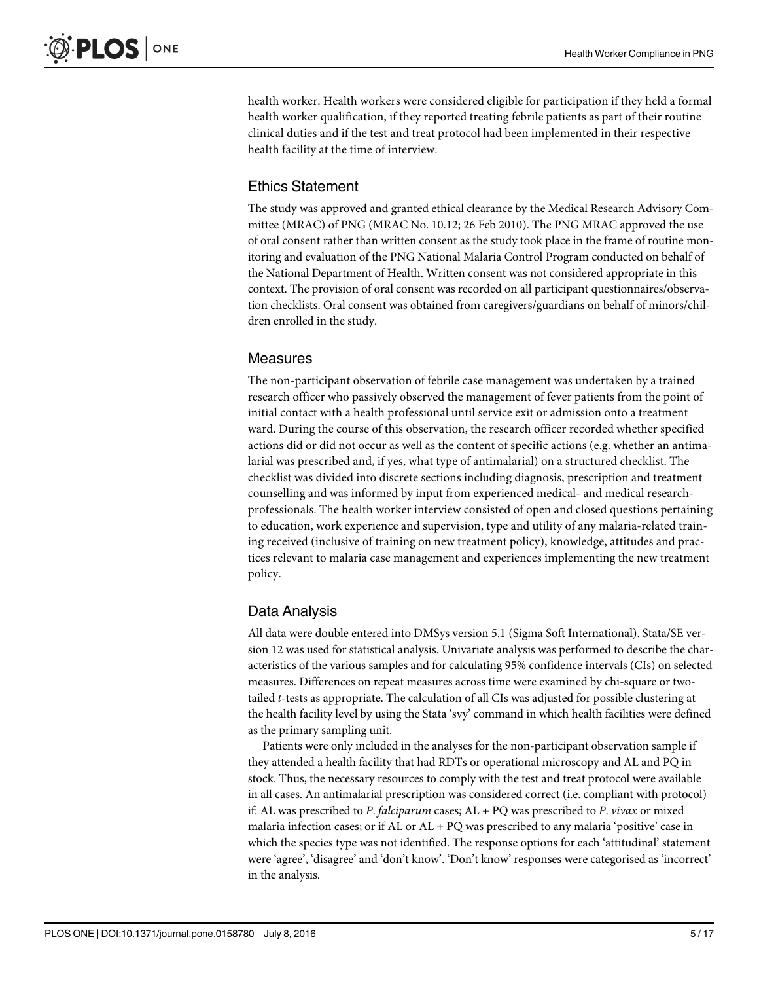health worker. Health workers were considered eligible for participation if they held a formal health worker qualification, if they reported treating febrile patients as part of their routine clinical duties and if the test and treat protocol had been implemented in their respective health facility at the time of interview.

## Ethics Statement

The study was approved and granted ethical clearance by the Medical Research Advisory Committee (MRAC) of PNG (MRAC No. 10.12; 26 Feb 2010). The PNG MRAC approved the use of oral consent rather than written consent as the study took place in the frame of routine monitoring and evaluation of the PNG National Malaria Control Program conducted on behalf of the National Department of Health. Written consent was not considered appropriate in this context. The provision of oral consent was recorded on all participant questionnaires/observation checklists. Oral consent was obtained from caregivers/guardians on behalf of minors/children enrolled in the study.

#### Measures

The non-participant observation of febrile case management was undertaken by a trained research officer who passively observed the management of fever patients from the point of initial contact with a health professional until service exit or admission onto a treatment ward. During the course of this observation, the research officer recorded whether specified actions did or did not occur as well as the content of specific actions (e.g. whether an antimalarial was prescribed and, if yes, what type of antimalarial) on a structured checklist. The checklist was divided into discrete sections including diagnosis, prescription and treatment counselling and was informed by input from experienced medical- and medical researchprofessionals. The health worker interview consisted of open and closed questions pertaining to education, work experience and supervision, type and utility of any malaria-related training received (inclusive of training on new treatment policy), knowledge, attitudes and practices relevant to malaria case management and experiences implementing the new treatment policy.

## Data Analysis

All data were double entered into DMSys version 5.1 (Sigma Soft International). Stata/SE version 12 was used for statistical analysis. Univariate analysis was performed to describe the characteristics of the various samples and for calculating 95% confidence intervals (CIs) on selected measures. Differences on repeat measures across time were examined by chi-square or twotailed t-tests as appropriate. The calculation of all CIs was adjusted for possible clustering at the health facility level by using the Stata 'svy' command in which health facilities were defined as the primary sampling unit.

Patients were only included in the analyses for the non-participant observation sample if they attended a health facility that had RDTs or operational microscopy and AL and PQ in stock. Thus, the necessary resources to comply with the test and treat protocol were available in all cases. An antimalarial prescription was considered correct (i.e. compliant with protocol) if: AL was prescribed to P. falciparum cases;  $AL + PQ$  was prescribed to P. vivax or mixed malaria infection cases; or if AL or AL + PQ was prescribed to any malaria 'positive' case in which the species type was not identified. The response options for each 'attitudinal' statement were 'agree', 'disagree' and 'don't know'. 'Don't know' responses were categorised as 'incorrect' in the analysis.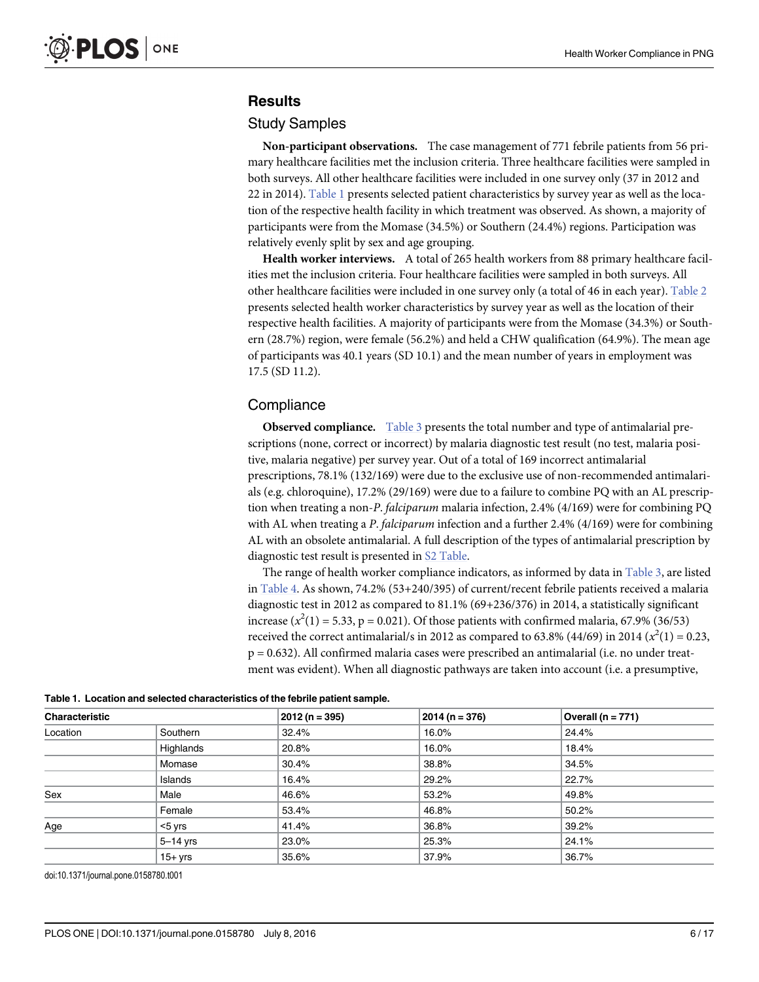## <span id="page-5-0"></span>**Results**

#### Study Samples

Non-participant observations. The case management of 771 febrile patients from 56 primary healthcare facilities met the inclusion criteria. Three healthcare facilities were sampled in both surveys. All other healthcare facilities were included in one survey only (37 in 2012 and 22 in 2014). Table 1 presents selected patient characteristics by survey year as well as the location of the respective health facility in which treatment was observed. As shown, a majority of participants were from the Momase (34.5%) or Southern (24.4%) regions. Participation was relatively evenly split by sex and age grouping.

Health worker interviews. A total of 265 health workers from 88 primary healthcare facilities met the inclusion criteria. Four healthcare facilities were sampled in both surveys. All other healthcare facilities were included in one survey only (a total of 46 in each year). [Table 2](#page-6-0) presents selected health worker characteristics by survey year as well as the location of their respective health facilities. A majority of participants were from the Momase (34.3%) or Southern (28.7%) region, were female (56.2%) and held a CHW qualification (64.9%). The mean age of participants was 40.1 years (SD 10.1) and the mean number of years in employment was 17.5 (SD 11.2).

#### **Compliance**

Observed compliance.  $Table 3$  presents the total number and type of antimalarial prescriptions (none, correct or incorrect) by malaria diagnostic test result (no test, malaria positive, malaria negative) per survey year. Out of a total of 169 incorrect antimalarial prescriptions, 78.1% (132/169) were due to the exclusive use of non-recommended antimalarials (e.g. chloroquine), 17.2% (29/169) were due to a failure to combine PQ with an AL prescription when treating a non-P. falciparum malaria infection, 2.4% (4/169) were for combining PQ with AL when treating a P. falciparum infection and a further 2.4% (4/169) were for combining AL with an obsolete antimalarial. A full description of the types of antimalarial prescription by diagnostic test result is presented in [S2 Table.](#page-13-0)

The range of health worker compliance indicators, as informed by data in [Table 3,](#page-6-0) are listed in [Table 4](#page-7-0). As shown, 74.2% (53+240/395) of current/recent febrile patients received a malaria diagnostic test in 2012 as compared to 81.1% (69+236/376) in 2014, a statistically significant increase  $(x^2(1) = 5.33, p = 0.021)$ . Of those patients with confirmed malaria, 67.9% (36/53) received the correct antimalarial/s in 2012 as compared to 63.8% (44/69) in 2014 ( $x^2(1) = 0.23$ , p = 0.632). All confirmed malaria cases were prescribed an antimalarial (i.e. no under treatment was evident). When all diagnostic pathways are taken into account (i.e. a presumptive,

| <b>Characteristic</b> |            | $2012(n = 395)$ | $ 2014(n=376) $ | Overall ( $n = 771$ ) |
|-----------------------|------------|-----------------|-----------------|-----------------------|
| Location              | Southern   | 32.4%           | 16.0%           | 24.4%                 |
|                       | Highlands  | 20.8%           | 16.0%           | 18.4%                 |
|                       | Momase     | 30.4%           | 38.8%           | 34.5%                 |
|                       | Islands    | 16.4%           | 29.2%           | 22.7%                 |
| Sex                   | Male       | 46.6%           | 53.2%           | 49.8%                 |
|                       | Female     | 53.4%           | 46.8%           | 50.2%                 |
| Age                   | <5 yrs     | 41.4%           | 36.8%           | 39.2%                 |
|                       | $5-14$ yrs | 23.0%           | 25.3%           | 24.1%                 |
|                       | $15 + yrs$ | 35.6%           | 37.9%           | 36.7%                 |

Table 1. Location and selected characteristics of the febrile patient sample.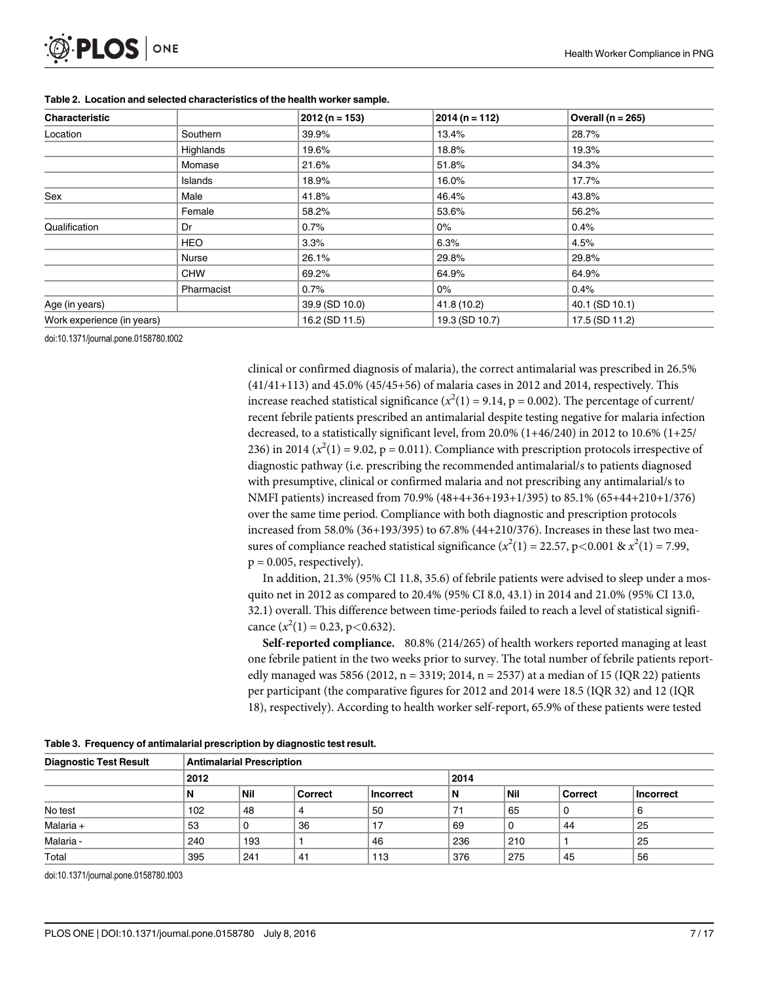| Characteristic             |                | $2012(n = 153)$ | $2014(n = 112)$ | Overall ( $n = 265$ ) |
|----------------------------|----------------|-----------------|-----------------|-----------------------|
| Location                   | Southern       | 39.9%           | 13.4%           | 28.7%                 |
|                            | Highlands      | 19.6%           | 18.8%           | 19.3%                 |
|                            | Momase         | 21.6%           | 51.8%           | 34.3%                 |
|                            | <b>Islands</b> | 18.9%           | 16.0%           | 17.7%                 |
| Sex                        | Male           | 41.8%           | 46.4%           | 43.8%                 |
|                            | Female         | 58.2%           | 53.6%           | 56.2%                 |
| Qualification              | Dr             | 0.7%            | $0\%$           | 0.4%                  |
|                            | <b>HEO</b>     | 3.3%            | 6.3%            | 4.5%                  |
|                            | Nurse          | 26.1%           | 29.8%           | 29.8%                 |
|                            | <b>CHW</b>     | 69.2%           | 64.9%           | 64.9%                 |
|                            | Pharmacist     | 0.7%            | $0\%$           | 0.4%                  |
| Age (in years)             |                | 39.9 (SD 10.0)  | 41.8 (10.2)     | 40.1 (SD 10.1)        |
| Work experience (in years) |                | 16.2 (SD 11.5)  | 19.3 (SD 10.7)  | 17.5 (SD 11.2)        |

<span id="page-6-0"></span>[Table 2.](#page-5-0) Location and selected characteristics of the health worker sample.

doi:10.1371/journal.pone.0158780.t002

clinical or confirmed diagnosis of malaria), the correct antimalarial was prescribed in 26.5% (41/41+113) and 45.0% (45/45+56) of malaria cases in 2012 and 2014, respectively. This increase reached statistical significance ( $x^2(1) = 9.14$ , p = 0.002). The percentage of current/ recent febrile patients prescribed an antimalarial despite testing negative for malaria infection decreased, to a statistically significant level, from 20.0%  $(1+46/240)$  in 2012 to 10.6%  $(1+25/240)$ 236) in 2014 ( $x^2(1) = 9.02$ , p = 0.011). Compliance with prescription protocols irrespective of diagnostic pathway (i.e. prescribing the recommended antimalarial/s to patients diagnosed with presumptive, clinical or confirmed malaria and not prescribing any antimalarial/s to NMFI patients) increased from 70.9% (48+4+36+193+1/395) to 85.1% (65+44+210+1/376) over the same time period. Compliance with both diagnostic and prescription protocols increased from 58.0% (36+193/395) to 67.8% (44+210/376). Increases in these last two measures of compliance reached statistical significance ( $x^2(1) = 22.57$ , p<0.001 &  $x^2(1) = 7.99$ ,  $p = 0.005$ , respectively).

In addition, 21.3% (95% CI 11.8, 35.6) of febrile patients were advised to sleep under a mosquito net in 2012 as compared to 20.4% (95% CI 8.0, 43.1) in 2014 and 21.0% (95% CI 13.0, 32.1) overall. This difference between time-periods failed to reach a level of statistical significance  $(x^2(1) = 0.23, p < 0.632)$ .

Self-reported compliance. 80.8% (214/265) of health workers reported managing at least one febrile patient in the two weeks prior to survey. The total number of febrile patients reportedly managed was 5856 (2012,  $n = 3319$ ; 2014,  $n = 2537$ ) at a median of 15 (IQR 22) patients per participant (the comparative figures for 2012 and 2014 were 18.5 (IQR 32) and 12 (IQR 18), respectively). According to health worker self-report, 65.9% of these patients were tested

| <b>Diagnostic Test Result</b> | <b>Antimalarial Prescription</b> |     |                |           |     |            |                |           |
|-------------------------------|----------------------------------|-----|----------------|-----------|-----|------------|----------------|-----------|
|                               | 2012                             |     |                | 2014      |     |            |                |           |
|                               | N                                | Nil | <b>Correct</b> | Incorrect | ١N  | <b>Nil</b> | <b>Correct</b> | Incorrect |
| No test                       | 102                              | 48  | 4              | 50        | 71  | 65         | 0              | 6         |
| Malaria +                     | 53                               | 0   | 36             | 17        | 69  | 0          | 44             | 25        |
| Malaria -                     | 240                              | 193 |                | 46        | 236 | 210        |                | 25        |
| Total                         | 395                              | 241 | 41             | 113       | 376 | 275        | 45             | 56        |

[Table 3.](#page-5-0) Frequency of antimalarial prescription by diagnostic test result.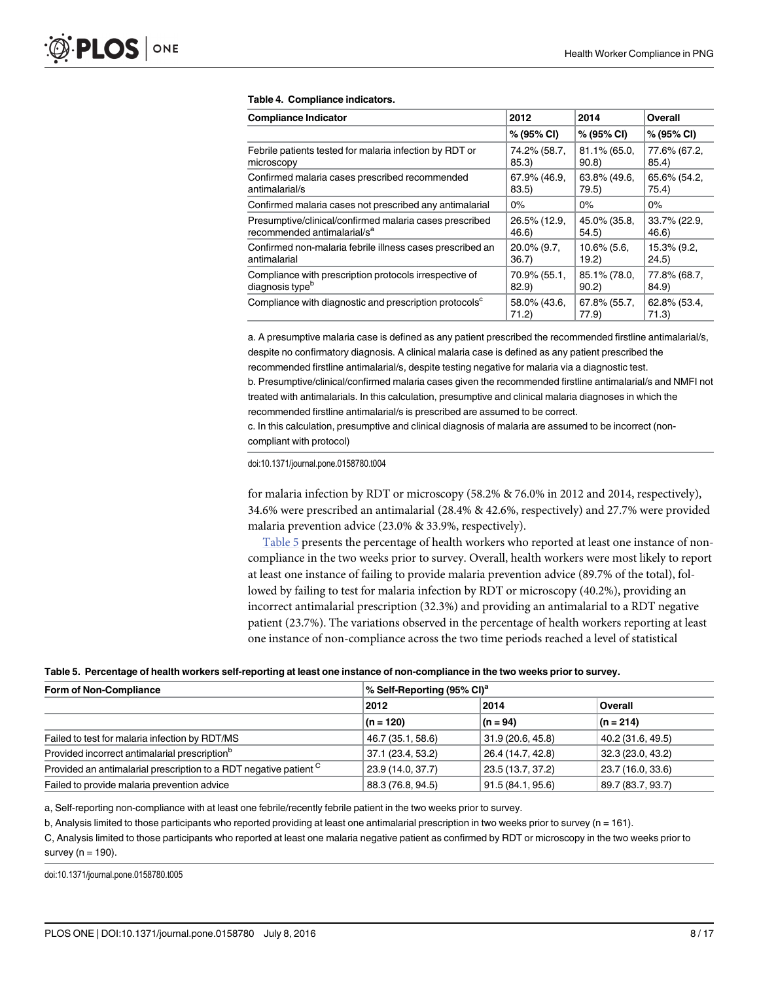#### <span id="page-7-0"></span>[Table 4.](#page-5-0) Compliance indicators.

| <b>Compliance Indicator</b>                                        | 2012         | 2014            | Overall      |
|--------------------------------------------------------------------|--------------|-----------------|--------------|
|                                                                    | % (95% CI)   | % (95% CI)      | % (95% CI)   |
| Febrile patients tested for malaria infection by RDT or            | 74.2% (58.7, | $81.1\%$ (65.0, | 77.6% (67.2, |
| microscopy                                                         | 85.3)        | 90.8            | 85.4)        |
| Confirmed malaria cases prescribed recommended                     | 67.9% (46.9, | 63.8% (49.6,    | 65.6% (54.2, |
| antimalarial/s                                                     | 83.5)        | 79.5)           | 75.4)        |
| Confirmed malaria cases not prescribed any antimalarial            | $0\%$        | 0%              | $0\%$        |
| Presumptive/clinical/confirmed malaria cases prescribed            | 26.5% (12.9, | 45.0% (35.8,    | 33.7% (22.9, |
| recommended antimalarial/s <sup>a</sup>                            | 46.6)        | 54.5)           | 46.6         |
| Confirmed non-malaria febrile illness cases prescribed an          | 20.0% (9.7,  | 10.6% (5.6,     | 15.3% (9.2,  |
| antimalarial                                                       | 36.7)        | 19.2)           | 24.5)        |
| Compliance with prescription protocols irrespective of             | 70.9% (55.1, | 85.1% (78.0,    | 77.8% (68.7, |
| diagnosis type <sup>b</sup>                                        | 82.9)        | 90.2            | 84.9)        |
| Compliance with diagnostic and prescription protocols <sup>c</sup> | 58.0% (43.6, | 67.8% (55.7,    | 62.8% (53.4, |
|                                                                    | 71.2)        | 77.9)           | 71.3)        |

a. A presumptive malaria case is defined as any patient prescribed the recommended firstline antimalarial/s, despite no confirmatory diagnosis. A clinical malaria case is defined as any patient prescribed the recommended firstline antimalarial/s, despite testing negative for malaria via a diagnostic test. b. Presumptive/clinical/confirmed malaria cases given the recommended firstline antimalarial/s and NMFI not treated with antimalarials. In this calculation, presumptive and clinical malaria diagnoses in which the recommended firstline antimalarial/s is prescribed are assumed to be correct.

c. In this calculation, presumptive and clinical diagnosis of malaria are assumed to be incorrect (noncompliant with protocol)

doi:10.1371/journal.pone.0158780.t004

for malaria infection by RDT or microscopy (58.2% & 76.0% in 2012 and 2014, respectively), 34.6% were prescribed an antimalarial (28.4% & 42.6%, respectively) and 27.7% were provided malaria prevention advice (23.0% & 33.9%, respectively).

Table 5 presents the percentage of health workers who reported at least one instance of noncompliance in the two weeks prior to survey. Overall, health workers were most likely to report at least one instance of failing to provide malaria prevention advice (89.7% of the total), followed by failing to test for malaria infection by RDT or microscopy (40.2%), providing an incorrect antimalarial prescription (32.3%) and providing an antimalarial to a RDT negative patient (23.7%). The variations observed in the percentage of health workers reporting at least one instance of non-compliance across the two time periods reached a level of statistical

#### Table 5. Percentage of health workers self-reporting at least one instance of non-compliance in the two weeks prior to survey.

| <b>Form of Non-Compliance</b>                                                | % Self-Reporting (95% CI) <sup>a</sup> |                   |                   |  |  |  |
|------------------------------------------------------------------------------|----------------------------------------|-------------------|-------------------|--|--|--|
|                                                                              | 2012                                   | 2014              | Overall           |  |  |  |
|                                                                              | $(n = 120)$                            | $(n = 94)$        | $(n = 214)$       |  |  |  |
| Failed to test for malaria infection by RDT/MS                               | 46.7 (35.1, 58.6)                      | 31.9(20.6, 45.8)  | 40.2 (31.6, 49.5) |  |  |  |
| Provided incorrect antimalarial prescription <sup>b</sup>                    | 37.1 (23.4, 53.2)                      | 26.4 (14.7, 42.8) | 32.3 (23.0, 43.2) |  |  |  |
| Provided an antimalarial prescription to a RDT negative patient <sup>C</sup> | 23.9 (14.0, 37.7)                      | 23.5 (13.7, 37.2) | 23.7 (16.0, 33.6) |  |  |  |
| Failed to provide malaria prevention advice                                  | 88.3 (76.8, 94.5)                      | 91.5 (84.1, 95.6) | 89.7 (83.7, 93.7) |  |  |  |

a, Self-reporting non-compliance with at least one febrile/recently febrile patient in the two weeks prior to survey.

b, Analysis limited to those participants who reported providing at least one antimalarial prescription in two weeks prior to survey (n = 161).

C, Analysis limited to those participants who reported at least one malaria negative patient as confirmed by RDT or microscopy in the two weeks prior to survey ( $n = 190$ ).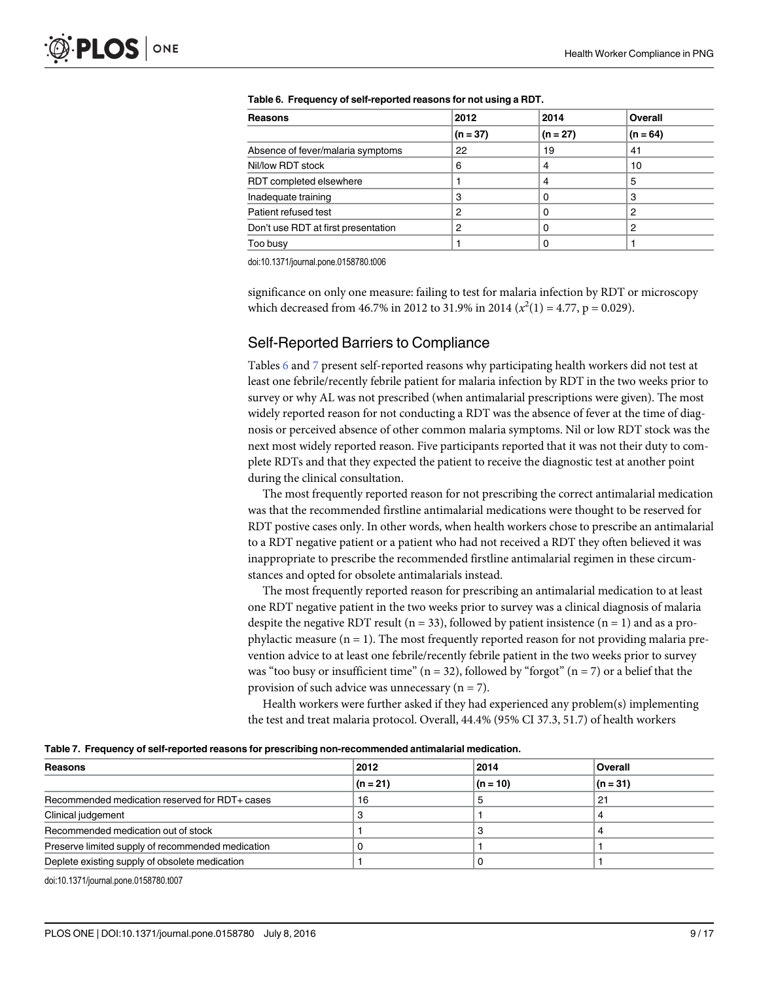| Reasons                             | 2012       | 2014       | Overall    |
|-------------------------------------|------------|------------|------------|
|                                     | $(n = 37)$ | $(n = 27)$ | $(n = 64)$ |
| Absence of fever/malaria symptoms   | 22         | 19         | 41         |
| Nil/low RDT stock                   | 6          | 4          | 10         |
| RDT completed elsewhere             |            | 4          | 5          |
| Inadequate training                 | 3          |            | 3          |
| Patient refused test                | 2          |            | 2          |
| Don't use RDT at first presentation | 2          |            | 2          |
| Too busy                            |            |            |            |

#### Table 6. Frequency of self-reported reasons for not using a RDT.

doi:10.1371/journal.pone.0158780.t006

significance on only one measure: failing to test for malaria infection by RDT or microscopy which decreased from 46.7% in 2012 to 31.9% in 2014 ( $x^2(1) = 4.77$ , p = 0.029).

#### Self-Reported Barriers to Compliance

Tables  $6$  and  $7$  present self-reported reasons why participating health workers did not test at least one febrile/recently febrile patient for malaria infection by RDT in the two weeks prior to survey or why AL was not prescribed (when antimalarial prescriptions were given). The most widely reported reason for not conducting a RDT was the absence of fever at the time of diagnosis or perceived absence of other common malaria symptoms. Nil or low RDT stock was the next most widely reported reason. Five participants reported that it was not their duty to complete RDTs and that they expected the patient to receive the diagnostic test at another point during the clinical consultation.

The most frequently reported reason for not prescribing the correct antimalarial medication was that the recommended firstline antimalarial medications were thought to be reserved for RDT postive cases only. In other words, when health workers chose to prescribe an antimalarial to a RDT negative patient or a patient who had not received a RDT they often believed it was inappropriate to prescribe the recommended firstline antimalarial regimen in these circumstances and opted for obsolete antimalarials instead.

The most frequently reported reason for prescribing an antimalarial medication to at least one RDT negative patient in the two weeks prior to survey was a clinical diagnosis of malaria despite the negative RDT result ( $n = 33$ ), followed by patient insistence ( $n = 1$ ) and as a prophylactic measure  $(n = 1)$ . The most frequently reported reason for not providing malaria prevention advice to at least one febrile/recently febrile patient in the two weeks prior to survey was "too busy or insufficient time" ( $n = 32$ ), followed by "forgot" ( $n = 7$ ) or a belief that the provision of such advice was unnecessary  $(n = 7)$ .

Health workers were further asked if they had experienced any problem(s) implementing the test and treat malaria protocol. Overall, 44.4% (95% CI 37.3, 51.7) of health workers

| <b>Reasons</b>                                    | 2012       | 2014       | Overall    |
|---------------------------------------------------|------------|------------|------------|
|                                                   | $(n = 21)$ | $(n = 10)$ | $(n = 31)$ |
| Recommended medication reserved for RDT+ cases    | 16         | ÷          | 21         |
| Clinical judgement                                |            |            |            |
| Recommended medication out of stock               |            |            |            |
| Preserve limited supply of recommended medication |            |            |            |
| Deplete existing supply of obsolete medication    |            |            |            |

Table 7. Frequency of self-reported reasons for prescribing non-recommended antimalarial medication.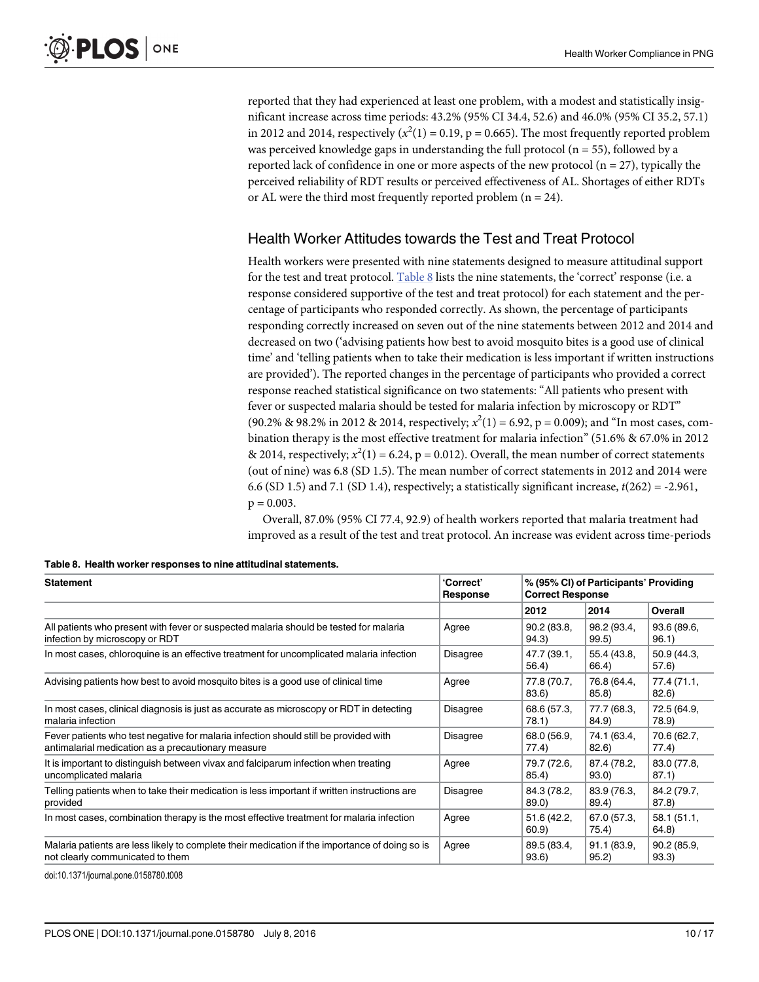reported that they had experienced at least one problem, with a modest and statistically insignificant increase across time periods: 43.2% (95% CI 34.4, 52.6) and 46.0% (95% CI 35.2, 57.1) in 2012 and 2014, respectively ( $x^2(1) = 0.19$ , p = 0.665). The most frequently reported problem was perceived knowledge gaps in understanding the full protocol ( $n = 55$ ), followed by a reported lack of confidence in one or more aspects of the new protocol  $(n = 27)$ , typically the perceived reliability of RDT results or perceived effectiveness of AL. Shortages of either RDTs or AL were the third most frequently reported problem  $(n = 24)$ .

#### Health Worker Attitudes towards the Test and Treat Protocol

Health workers were presented with nine statements designed to measure attitudinal support for the test and treat protocol. Table 8 lists the nine statements, the 'correct' response (i.e. a response considered supportive of the test and treat protocol) for each statement and the percentage of participants who responded correctly. As shown, the percentage of participants responding correctly increased on seven out of the nine statements between 2012 and 2014 and decreased on two ('advising patients how best to avoid mosquito bites is a good use of clinical time' and 'telling patients when to take their medication is less important if written instructions are provided'). The reported changes in the percentage of participants who provided a correct response reached statistical significance on two statements: "All patients who present with fever or suspected malaria should be tested for malaria infection by microscopy or RDT" (90.2% & 98.2% in 2012 & 2014, respectively;  $x^2(1) = 6.92$ , p = 0.009); and "In most cases, combination therapy is the most effective treatment for malaria infection" (51.6% & 67.0% in 2012 & 2014, respectively;  $x^2(1) = 6.24$ , p = 0.012). Overall, the mean number of correct statements (out of nine) was 6.8 (SD 1.5). The mean number of correct statements in 2012 and 2014 were 6.6 (SD 1.5) and 7.1 (SD 1.4), respectively; a statistically significant increase,  $t(262) = -2.961$ ,  $p = 0.003$ .

Overall, 87.0% (95% CI 77.4, 92.9) of health workers reported that malaria treatment had improved as a result of the test and treat protocol. An increase was evident across time-periods

| <b>Statement</b>                                                                               | 'Correct'<br>Response | % (95% CI) of Participants' Providing<br><b>Correct Response</b> |                      |                      |
|------------------------------------------------------------------------------------------------|-----------------------|------------------------------------------------------------------|----------------------|----------------------|
|                                                                                                |                       | 2012                                                             | 2014                 | Overall              |
| All patients who present with fever or suspected malaria should be tested for malaria          | Agree                 | 90.2 (83.8,                                                      | 98.2 (93.4,          | 93.6 (89.6,          |
| infection by microscopy or RDT                                                                 |                       | 94.3)                                                            | 99.5)                | 96.1)                |
| In most cases, chloroquine is an effective treatment for uncomplicated malaria infection       | <b>Disagree</b>       | 47.7 (39.1,<br>56.4)                                             | 55.4 (43.8,<br>66.4) | 50.9 (44.3,<br>57.6) |
| Advising patients how best to avoid mosquito bites is a good use of clinical time              | Agree                 | 77.8 (70.7,<br>83.6)                                             | 76.8 (64.4,<br>85.8) | 77.4 (71.1,<br>82.6) |
| In most cases, clinical diagnosis is just as accurate as microscopy or RDT in detecting        | <b>Disagree</b>       | 68.6 (57.3,                                                      | 77.7 (68.3,          | 72.5 (64.9,          |
| malaria infection                                                                              |                       | 78.1)                                                            | 84.9)                | 78.9)                |
| Fever patients who test negative for malaria infection should still be provided with           | <b>Disagree</b>       | 68.0 (56.9,                                                      | 74.1 (63.4,          | 70.6 (62.7,          |
| antimalarial medication as a precautionary measure                                             |                       | 77.4)                                                            | 82.6)                | 77.4)                |
| It is important to distinguish between vivax and falciparum infection when treating            | Agree                 | 79.7 (72.6,                                                      | 87.4 (78.2,          | 83.0 (77.8,          |
| uncomplicated malaria                                                                          |                       | 85.4)                                                            | 93.0)                | 87.1)                |
| Telling patients when to take their medication is less important if written instructions are   | <b>Disagree</b>       | 84.3 (78.2,                                                      | 83.9 (76.3,          | 84.2 (79.7,          |
| provided                                                                                       |                       | 89.0)                                                            | 89.4)                | 87.8)                |
| In most cases, combination therapy is the most effective treatment for malaria infection       | Agree                 | 51.6 (42.2,<br>60.9                                              | 67.0 (57.3,<br>75.4) | 58.1 (51.1,<br>64.8) |
| Malaria patients are less likely to complete their medication if the importance of doing so is | Agree                 | 89.5 (83.4,                                                      | 91.1 (83.9,          | 90.2 (85.9,          |
| not clearly communicated to them                                                               |                       | 93.6)                                                            | 95.2)                | 93.3)                |

Table 8. Health worker responses to nine attitudinal statements.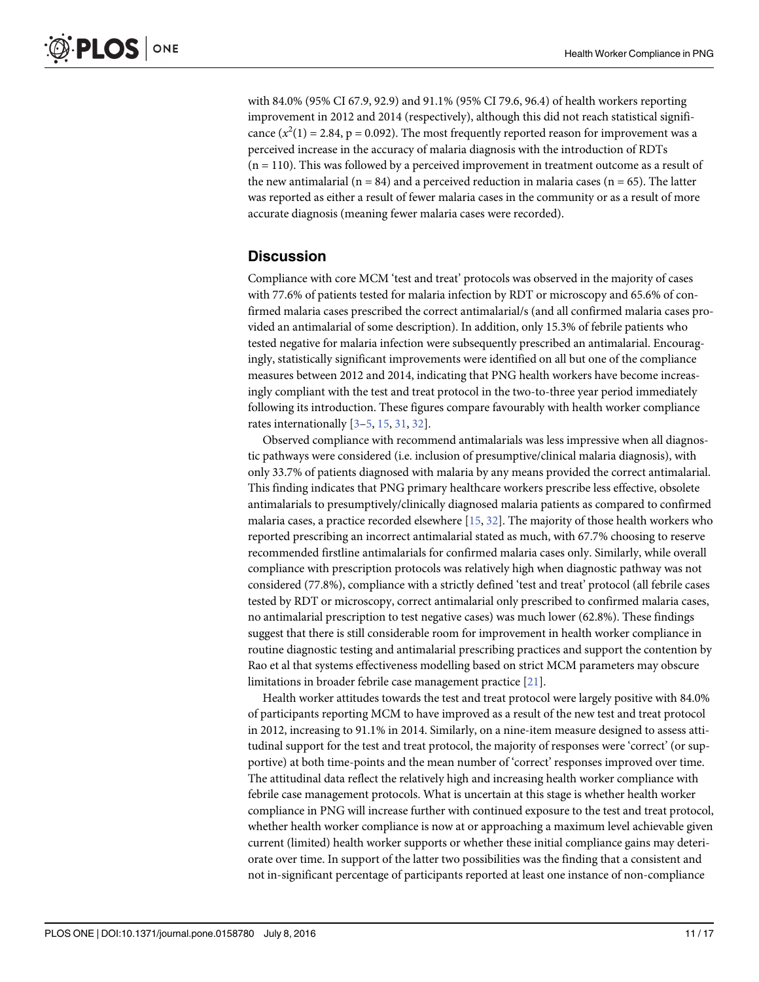<span id="page-10-0"></span>with 84.0% (95% CI 67.9, 92.9) and 91.1% (95% CI 79.6, 96.4) of health workers reporting improvement in 2012 and 2014 (respectively), although this did not reach statistical significance  $(x^2(1) = 2.84, p = 0.092)$ . The most frequently reported reason for improvement was a perceived increase in the accuracy of malaria diagnosis with the introduction of RDTs  $(n = 110)$ . This was followed by a perceived improvement in treatment outcome as a result of the new antimalarial ( $n = 84$ ) and a perceived reduction in malaria cases ( $n = 65$ ). The latter was reported as either a result of fewer malaria cases in the community or as a result of more accurate diagnosis (meaning fewer malaria cases were recorded).

#### **Discussion**

Compliance with core MCM 'test and treat' protocols was observed in the majority of cases with 77.6% of patients tested for malaria infection by RDT or microscopy and 65.6% of confirmed malaria cases prescribed the correct antimalarial/s (and all confirmed malaria cases provided an antimalarial of some description). In addition, only 15.3% of febrile patients who tested negative for malaria infection were subsequently prescribed an antimalarial. Encouragingly, statistically significant improvements were identified on all but one of the compliance measures between 2012 and 2014, indicating that PNG health workers have become increasingly compliant with the test and treat protocol in the two-to-three year period immediately following its introduction. These figures compare favourably with health worker compliance rates internationally  $[3-5, 15, 31, 32]$  $[3-5, 15, 31, 32]$  $[3-5, 15, 31, 32]$  $[3-5, 15, 31, 32]$  $[3-5, 15, 31, 32]$  $[3-5, 15, 31, 32]$  $[3-5, 15, 31, 32]$  $[3-5, 15, 31, 32]$  $[3-5, 15, 31, 32]$  $[3-5, 15, 31, 32]$ .

Observed compliance with recommend antimalarials was less impressive when all diagnostic pathways were considered (i.e. inclusion of presumptive/clinical malaria diagnosis), with only 33.7% of patients diagnosed with malaria by any means provided the correct antimalarial. This finding indicates that PNG primary healthcare workers prescribe less effective, obsolete antimalarials to presumptively/clinically diagnosed malaria patients as compared to confirmed malaria cases, a practice recorded elsewhere [\[15](#page-14-0), [32](#page-15-0)]. The majority of those health workers who reported prescribing an incorrect antimalarial stated as much, with 67.7% choosing to reserve recommended firstline antimalarials for confirmed malaria cases only. Similarly, while overall compliance with prescription protocols was relatively high when diagnostic pathway was not considered (77.8%), compliance with a strictly defined 'test and treat' protocol (all febrile cases tested by RDT or microscopy, correct antimalarial only prescribed to confirmed malaria cases, no antimalarial prescription to test negative cases) was much lower (62.8%). These findings suggest that there is still considerable room for improvement in health worker compliance in routine diagnostic testing and antimalarial prescribing practices and support the contention by Rao et al that systems effectiveness modelling based on strict MCM parameters may obscure limitations in broader febrile case management practice [\[21](#page-14-0)].

Health worker attitudes towards the test and treat protocol were largely positive with 84.0% of participants reporting MCM to have improved as a result of the new test and treat protocol in 2012, increasing to 91.1% in 2014. Similarly, on a nine-item measure designed to assess attitudinal support for the test and treat protocol, the majority of responses were 'correct' (or supportive) at both time-points and the mean number of 'correct' responses improved over time. The attitudinal data reflect the relatively high and increasing health worker compliance with febrile case management protocols. What is uncertain at this stage is whether health worker compliance in PNG will increase further with continued exposure to the test and treat protocol, whether health worker compliance is now at or approaching a maximum level achievable given current (limited) health worker supports or whether these initial compliance gains may deteriorate over time. In support of the latter two possibilities was the finding that a consistent and not in-significant percentage of participants reported at least one instance of non-compliance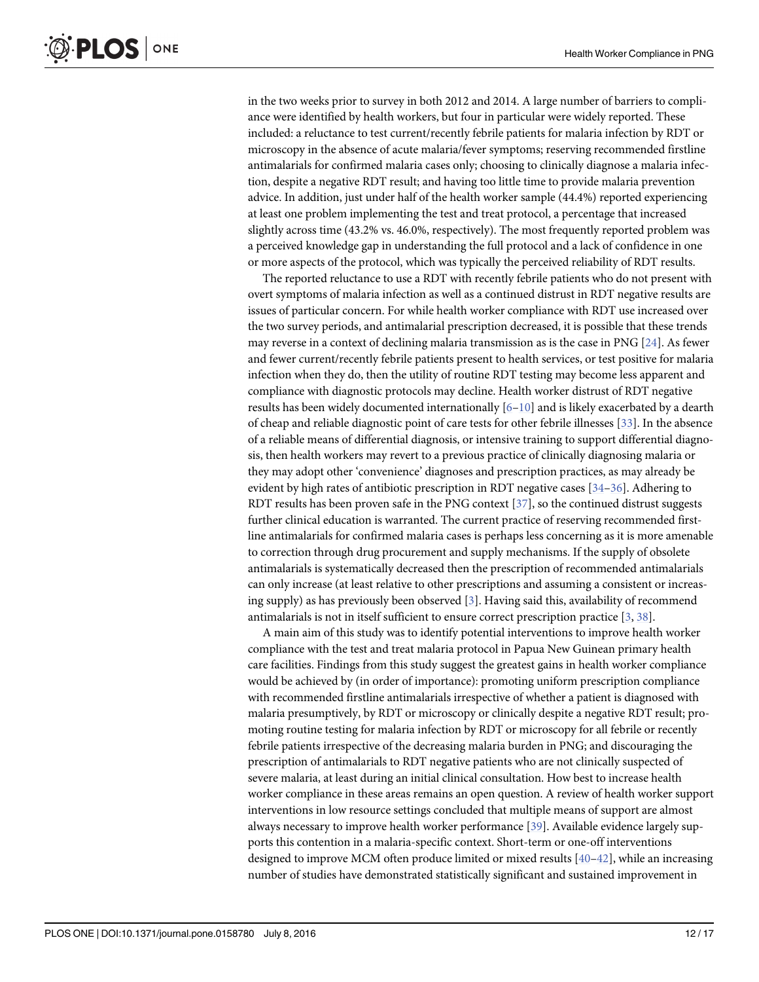<span id="page-11-0"></span>in the two weeks prior to survey in both 2012 and 2014. A large number of barriers to compliance were identified by health workers, but four in particular were widely reported. These included: a reluctance to test current/recently febrile patients for malaria infection by RDT or microscopy in the absence of acute malaria/fever symptoms; reserving recommended firstline antimalarials for confirmed malaria cases only; choosing to clinically diagnose a malaria infection, despite a negative RDT result; and having too little time to provide malaria prevention advice. In addition, just under half of the health worker sample (44.4%) reported experiencing at least one problem implementing the test and treat protocol, a percentage that increased slightly across time (43.2% vs. 46.0%, respectively). The most frequently reported problem was a perceived knowledge gap in understanding the full protocol and a lack of confidence in one or more aspects of the protocol, which was typically the perceived reliability of RDT results.

The reported reluctance to use a RDT with recently febrile patients who do not present with overt symptoms of malaria infection as well as a continued distrust in RDT negative results are issues of particular concern. For while health worker compliance with RDT use increased over the two survey periods, and antimalarial prescription decreased, it is possible that these trends may reverse in a context of declining malaria transmission as is the case in PNG [[24](#page-14-0)]. As fewer and fewer current/recently febrile patients present to health services, or test positive for malaria infection when they do, then the utility of routine RDT testing may become less apparent and compliance with diagnostic protocols may decline. Health worker distrust of RDT negative results has been widely documented internationally  $[6-10]$  $[6-10]$  $[6-10]$  $[6-10]$  $[6-10]$  and is likely exacerbated by a dearth of cheap and reliable diagnostic point of care tests for other febrile illnesses [\[33\]](#page-15-0). In the absence of a reliable means of differential diagnosis, or intensive training to support differential diagnosis, then health workers may revert to a previous practice of clinically diagnosing malaria or they may adopt other 'convenience' diagnoses and prescription practices, as may already be evident by high rates of antibiotic prescription in RDT negative cases [[34](#page-15-0)–[36](#page-15-0)]. Adhering to RDT results has been proven safe in the PNG context [\[37\]](#page-15-0), so the continued distrust suggests further clinical education is warranted. The current practice of reserving recommended firstline antimalarials for confirmed malaria cases is perhaps less concerning as it is more amenable to correction through drug procurement and supply mechanisms. If the supply of obsolete antimalarials is systematically decreased then the prescription of recommended antimalarials can only increase (at least relative to other prescriptions and assuming a consistent or increasing supply) as has previously been observed  $[3]$ . Having said this, availability of recommend antimalarials is not in itself sufficient to ensure correct prescription practice [\[3](#page-13-0), [38](#page-15-0)].

A main aim of this study was to identify potential interventions to improve health worker compliance with the test and treat malaria protocol in Papua New Guinean primary health care facilities. Findings from this study suggest the greatest gains in health worker compliance would be achieved by (in order of importance): promoting uniform prescription compliance with recommended firstline antimalarials irrespective of whether a patient is diagnosed with malaria presumptively, by RDT or microscopy or clinically despite a negative RDT result; promoting routine testing for malaria infection by RDT or microscopy for all febrile or recently febrile patients irrespective of the decreasing malaria burden in PNG; and discouraging the prescription of antimalarials to RDT negative patients who are not clinically suspected of severe malaria, at least during an initial clinical consultation. How best to increase health worker compliance in these areas remains an open question. A review of health worker support interventions in low resource settings concluded that multiple means of support are almost always necessary to improve health worker performance [\[39\]](#page-15-0). Available evidence largely supports this contention in a malaria-specific context. Short-term or one-off interventions designed to improve MCM often produce limited or mixed results [[40](#page-15-0)–[42](#page-15-0)], while an increasing number of studies have demonstrated statistically significant and sustained improvement in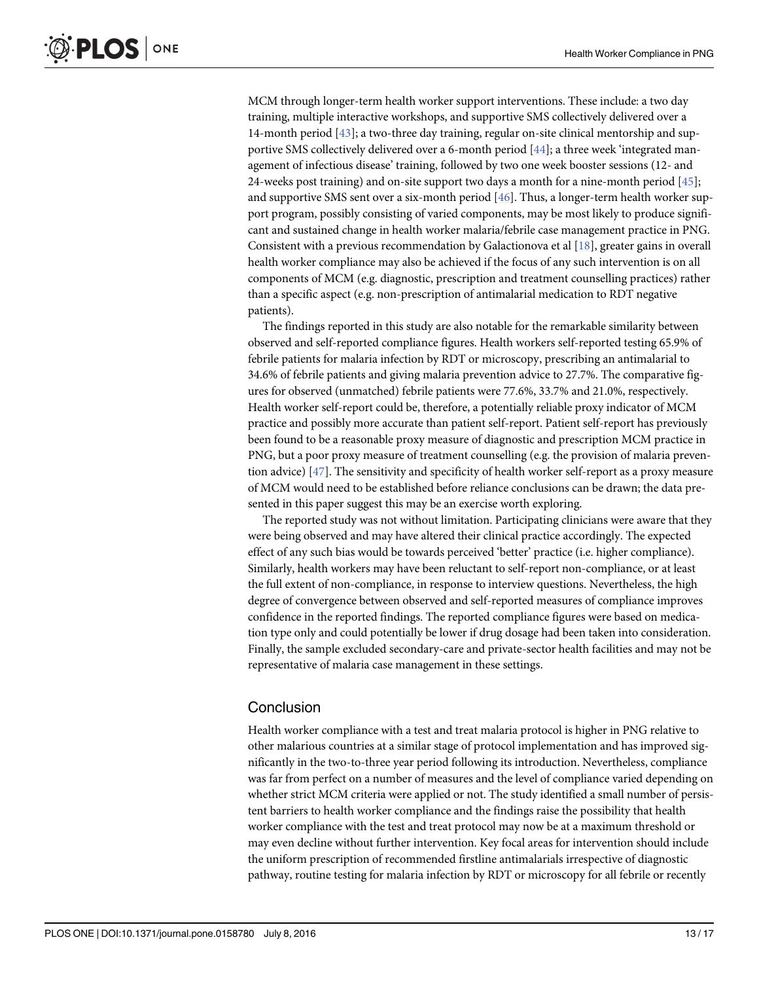<span id="page-12-0"></span>MCM through longer-term health worker support interventions. These include: a two day training, multiple interactive workshops, and supportive SMS collectively delivered over a 14-month period [[43](#page-15-0)]; a two-three day training, regular on-site clinical mentorship and sup-portive SMS collectively delivered over a 6-month period [[44](#page-15-0)]; a three week 'integrated management of infectious disease' training, followed by two one week booster sessions (12- and 24-weeks post training) and on-site support two days a month for a nine-month period  $[45]$ ; and supportive SMS sent over a six-month period [[46\]](#page-16-0). Thus, a longer-term health worker support program, possibly consisting of varied components, may be most likely to produce significant and sustained change in health worker malaria/febrile case management practice in PNG. Consistent with a previous recommendation by Galactionova et al [[18](#page-14-0)], greater gains in overall health worker compliance may also be achieved if the focus of any such intervention is on all components of MCM (e.g. diagnostic, prescription and treatment counselling practices) rather than a specific aspect (e.g. non-prescription of antimalarial medication to RDT negative patients).

The findings reported in this study are also notable for the remarkable similarity between observed and self-reported compliance figures. Health workers self-reported testing 65.9% of febrile patients for malaria infection by RDT or microscopy, prescribing an antimalarial to 34.6% of febrile patients and giving malaria prevention advice to 27.7%. The comparative figures for observed (unmatched) febrile patients were 77.6%, 33.7% and 21.0%, respectively. Health worker self-report could be, therefore, a potentially reliable proxy indicator of MCM practice and possibly more accurate than patient self-report. Patient self-report has previously been found to be a reasonable proxy measure of diagnostic and prescription MCM practice in PNG, but a poor proxy measure of treatment counselling (e.g. the provision of malaria prevention advice)  $[47]$  $[47]$ . The sensitivity and specificity of health worker self-report as a proxy measure of MCM would need to be established before reliance conclusions can be drawn; the data presented in this paper suggest this may be an exercise worth exploring.

The reported study was not without limitation. Participating clinicians were aware that they were being observed and may have altered their clinical practice accordingly. The expected effect of any such bias would be towards perceived 'better' practice (i.e. higher compliance). Similarly, health workers may have been reluctant to self-report non-compliance, or at least the full extent of non-compliance, in response to interview questions. Nevertheless, the high degree of convergence between observed and self-reported measures of compliance improves confidence in the reported findings. The reported compliance figures were based on medication type only and could potentially be lower if drug dosage had been taken into consideration. Finally, the sample excluded secondary-care and private-sector health facilities and may not be representative of malaria case management in these settings.

#### **Conclusion**

Health worker compliance with a test and treat malaria protocol is higher in PNG relative to other malarious countries at a similar stage of protocol implementation and has improved significantly in the two-to-three year period following its introduction. Nevertheless, compliance was far from perfect on a number of measures and the level of compliance varied depending on whether strict MCM criteria were applied or not. The study identified a small number of persistent barriers to health worker compliance and the findings raise the possibility that health worker compliance with the test and treat protocol may now be at a maximum threshold or may even decline without further intervention. Key focal areas for intervention should include the uniform prescription of recommended firstline antimalarials irrespective of diagnostic pathway, routine testing for malaria infection by RDT or microscopy for all febrile or recently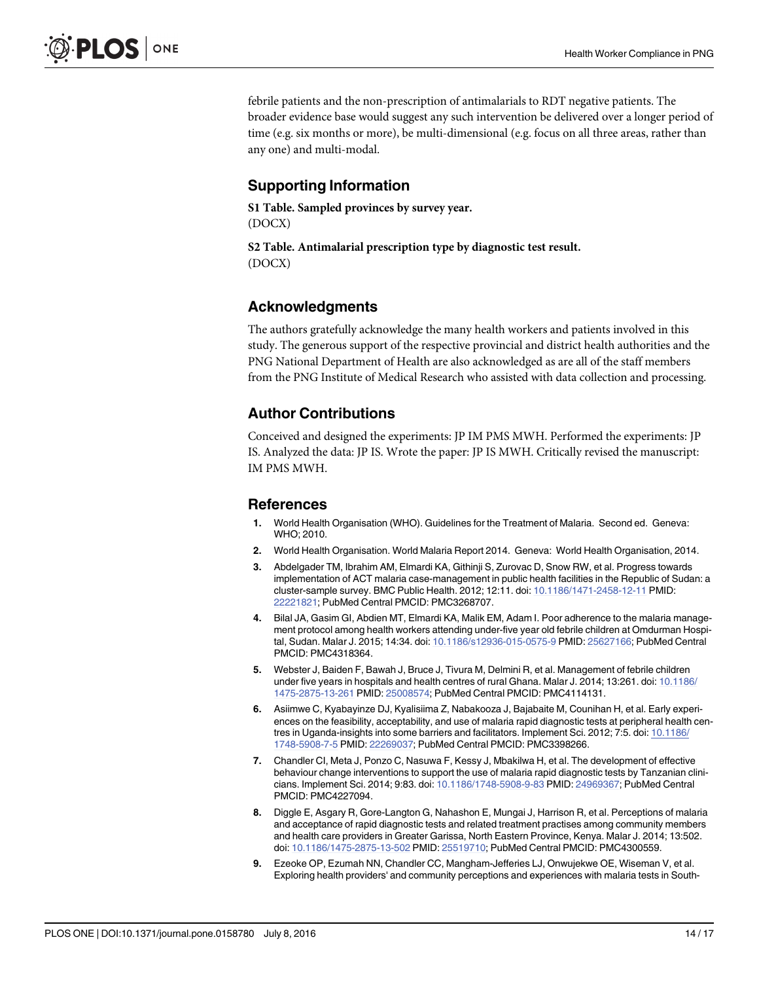<span id="page-13-0"></span>febrile patients and the non-prescription of antimalarials to RDT negative patients. The broader evidence base would suggest any such intervention be delivered over a longer period of time (e.g. six months or more), be multi-dimensional (e.g. focus on all three areas, rather than any one) and multi-modal.

#### Supporting Information

[S1 Table](http://www.plosone.org/article/fetchSingleRepresentation.action?uri=info:doi/10.1371/journal.pone.0158780.s001). Sampled provinces by survey year. (DOCX)

[S2 Table](http://www.plosone.org/article/fetchSingleRepresentation.action?uri=info:doi/10.1371/journal.pone.0158780.s002). Antimalarial prescription type by diagnostic test result. (DOCX)

#### Acknowledgments

The authors gratefully acknowledge the many health workers and patients involved in this study. The generous support of the respective provincial and district health authorities and the PNG National Department of Health are also acknowledged as are all of the staff members from the PNG Institute of Medical Research who assisted with data collection and processing.

## Author Contributions

Conceived and designed the experiments: JP IM PMS MWH. Performed the experiments: JP IS. Analyzed the data: JP IS. Wrote the paper: JP IS MWH. Critically revised the manuscript: IM PMS MWH.

#### References

- [1.](#page-1-0) World Health Organisation (WHO). Guidelines for the Treatment of Malaria. Second ed. Geneva: WHO; 2010.
- [2.](#page-1-0) World Health Organisation. World Malaria Report 2014. Geneva: World Health Organisation, 2014.
- [3.](#page-1-0) Abdelgader TM, Ibrahim AM, Elmardi KA, Githinji S, Zurovac D, Snow RW, et al. Progress towards implementation of ACT malaria case-management in public health facilities in the Republic of Sudan: a cluster-sample survey. BMC Public Health. 2012; 12:11. doi: [10.1186/1471-2458-12-11](http://dx.doi.org/10.1186/1471-2458-12-11) PMID: [22221821](http://www.ncbi.nlm.nih.gov/pubmed/22221821); PubMed Central PMCID: PMC3268707.
- 4. Bilal JA, Gasim GI, Abdien MT, Elmardi KA, Malik EM, Adam I. Poor adherence to the malaria management protocol among health workers attending under-five year old febrile children at Omdurman Hospi-tal, Sudan. Malar J. 2015; 14:34. doi: [10.1186/s12936-015-0575-9](http://dx.doi.org/10.1186/s12936-015-0575-9) PMID: [25627166](http://www.ncbi.nlm.nih.gov/pubmed/25627166); PubMed Central PMCID: PMC4318364.
- [5.](#page-1-0) Webster J, Baiden F, Bawah J, Bruce J, Tivura M, Delmini R, et al. Management of febrile children under five years in hospitals and health centres of rural Ghana. Malar J. 2014; 13:261. doi: [10.1186/](http://dx.doi.org/10.1186/1475-2875-13-261) [1475-2875-13-261](http://dx.doi.org/10.1186/1475-2875-13-261) PMID: [25008574;](http://www.ncbi.nlm.nih.gov/pubmed/25008574) PubMed Central PMCID: PMC4114131.
- [6.](#page-1-0) Asiimwe C, Kyabayinze DJ, Kyalisiima Z, Nabakooza J, Bajabaite M, Counihan H, et al. Early experiences on the feasibility, acceptability, and use of malaria rapid diagnostic tests at peripheral health centres in Uganda-insights into some barriers and facilitators. Implement Sci. 2012; 7:5. doi: [10.1186/](http://dx.doi.org/10.1186/1748-5908-7-5) [1748-5908-7-5](http://dx.doi.org/10.1186/1748-5908-7-5) PMID: [22269037](http://www.ncbi.nlm.nih.gov/pubmed/22269037); PubMed Central PMCID: PMC3398266.
- 7. Chandler CI, Meta J, Ponzo C, Nasuwa F, Kessy J, Mbakilwa H, et al. The development of effective behaviour change interventions to support the use of malaria rapid diagnostic tests by Tanzanian clinicians. Implement Sci. 2014; 9:83. doi: [10.1186/1748-5908-9-83](http://dx.doi.org/10.1186/1748-5908-9-83) PMID: [24969367;](http://www.ncbi.nlm.nih.gov/pubmed/24969367) PubMed Central PMCID: PMC4227094.
- 8. Diggle E, Asgary R, Gore-Langton G, Nahashon E, Mungai J, Harrison R, et al. Perceptions of malaria and acceptance of rapid diagnostic tests and related treatment practises among community members and health care providers in Greater Garissa, North Eastern Province, Kenya. Malar J. 2014; 13:502. doi: [10.1186/1475-2875-13-502](http://dx.doi.org/10.1186/1475-2875-13-502) PMID: [25519710;](http://www.ncbi.nlm.nih.gov/pubmed/25519710) PubMed Central PMCID: PMC4300559.
- 9. Ezeoke OP, Ezumah NN, Chandler CC, Mangham-Jefferies LJ, Onwujekwe OE, Wiseman V, et al. Exploring health providers' and community perceptions and experiences with malaria tests in South-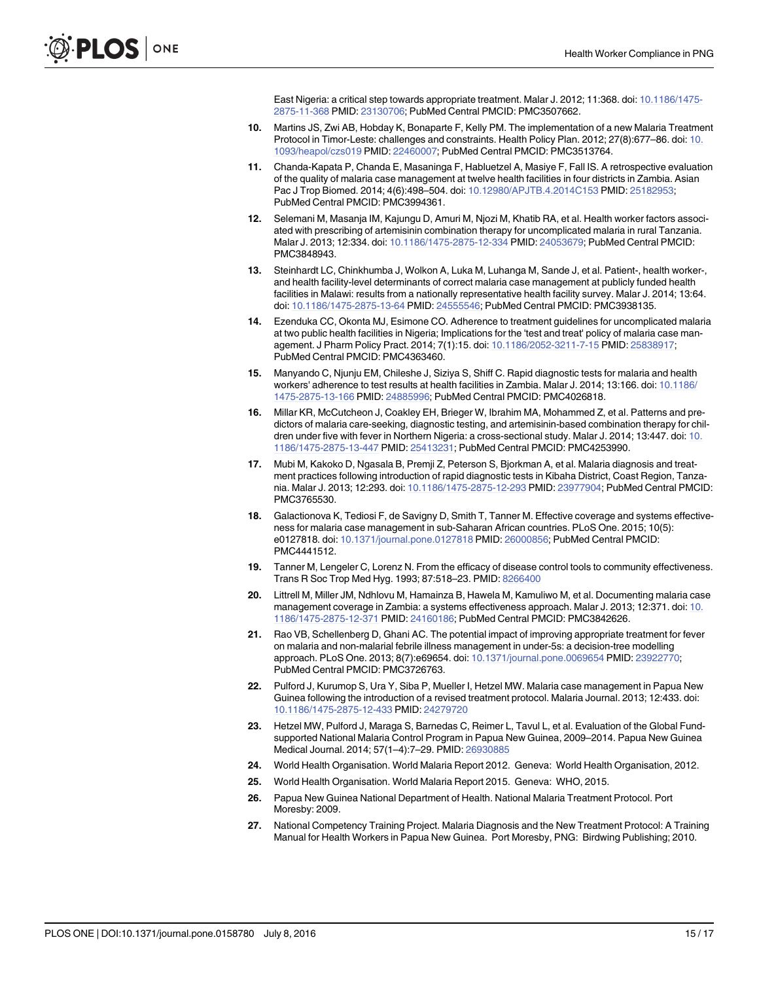East Nigeria: a critical step towards appropriate treatment. Malar J. 2012; 11:368. doi: [10.1186/1475-](http://dx.doi.org/10.1186/1475-2875-11-368) [2875-11-368](http://dx.doi.org/10.1186/1475-2875-11-368) PMID: [23130706](http://www.ncbi.nlm.nih.gov/pubmed/23130706); PubMed Central PMCID: PMC3507662.

- <span id="page-14-0"></span>[10.](#page-1-0) Martins JS, Zwi AB, Hobday K, Bonaparte F, Kelly PM. The implementation of a new Malaria Treatment Protocol in Timor-Leste: challenges and constraints. Health Policy Plan. 2012; 27(8):677–86. doi: [10.](http://dx.doi.org/10.1093/heapol/czs019) [1093/heapol/czs019](http://dx.doi.org/10.1093/heapol/czs019) PMID: [22460007;](http://www.ncbi.nlm.nih.gov/pubmed/22460007) PubMed Central PMCID: PMC3513764.
- [11.](#page-1-0) Chanda-Kapata P, Chanda E, Masaninga F, Habluetzel A, Masiye F, Fall IS. A retrospective evaluation of the quality of malaria case management at twelve health facilities in four districts in Zambia. Asian Pac J Trop Biomed. 2014; 4(6):498-504. doi: [10.12980/APJTB.4.2014C153](http://dx.doi.org/10.12980/APJTB.4.2014C153) PMID: [25182953;](http://www.ncbi.nlm.nih.gov/pubmed/25182953) PubMed Central PMCID: PMC3994361.
- 12. Selemani M, Masanja IM, Kajungu D, Amuri M, Njozi M, Khatib RA, et al. Health worker factors associated with prescribing of artemisinin combination therapy for uncomplicated malaria in rural Tanzania. Malar J. 2013; 12:334. doi: [10.1186/1475-2875-12-334](http://dx.doi.org/10.1186/1475-2875-12-334) PMID: [24053679;](http://www.ncbi.nlm.nih.gov/pubmed/24053679) PubMed Central PMCID: PMC3848943.
- [13.](#page-1-0) Steinhardt LC, Chinkhumba J, Wolkon A, Luka M, Luhanga M, Sande J, et al. Patient-, health worker-, and health facility-level determinants of correct malaria case management at publicly funded health facilities in Malawi: results from a nationally representative health facility survey. Malar J. 2014; 13:64. doi: [10.1186/1475-2875-13-64](http://dx.doi.org/10.1186/1475-2875-13-64) PMID: [24555546](http://www.ncbi.nlm.nih.gov/pubmed/24555546); PubMed Central PMCID: PMC3938135.
- [14.](#page-1-0) Ezenduka CC, Okonta MJ, Esimone CO. Adherence to treatment guidelines for uncomplicated malaria at two public health facilities in Nigeria; Implications for the 'test and treat' policy of malaria case management. J Pharm Policy Pract. 2014; 7(1):15. doi: [10.1186/2052-3211-7-15](http://dx.doi.org/10.1186/2052-3211-7-15) PMID: [25838917](http://www.ncbi.nlm.nih.gov/pubmed/25838917); PubMed Central PMCID: PMC4363460.
- [15.](#page-10-0) Manyando C, Njunju EM, Chileshe J, Siziya S, Shiff C. Rapid diagnostic tests for malaria and health workers' adherence to test results at health facilities in Zambia. Malar J. 2014; 13:166. doi: [10.1186/](http://dx.doi.org/10.1186/1475-2875-13-166) [1475-2875-13-166](http://dx.doi.org/10.1186/1475-2875-13-166) PMID: [24885996;](http://www.ncbi.nlm.nih.gov/pubmed/24885996) PubMed Central PMCID: PMC4026818.
- 16. Millar KR, McCutcheon J, Coakley EH, Brieger W, Ibrahim MA, Mohammed Z, et al. Patterns and predictors of malaria care-seeking, diagnostic testing, and artemisinin-based combination therapy for children under five with fever in Northern Nigeria: a cross-sectional study. Malar J. 2014; 13:447. doi: [10.](http://dx.doi.org/10.1186/1475-2875-13-447) [1186/1475-2875-13-447](http://dx.doi.org/10.1186/1475-2875-13-447) PMID: [25413231](http://www.ncbi.nlm.nih.gov/pubmed/25413231); PubMed Central PMCID: PMC4253990.
- [17.](#page-1-0) Mubi M, Kakoko D, Ngasala B, Premji Z, Peterson S, Bjorkman A, et al. Malaria diagnosis and treatment practices following introduction of rapid diagnostic tests in Kibaha District, Coast Region, Tanzania. Malar J. 2013; 12:293. doi: [10.1186/1475-2875-12-293](http://dx.doi.org/10.1186/1475-2875-12-293) PMID: [23977904](http://www.ncbi.nlm.nih.gov/pubmed/23977904); PubMed Central PMCID: PMC3765530.
- [18.](#page-1-0) Galactionova K, Tediosi F, de Savigny D, Smith T, Tanner M. Effective coverage and systems effectiveness for malaria case management in sub-Saharan African countries. PLoS One. 2015; 10(5): e0127818. doi: [10.1371/journal.pone.0127818](http://dx.doi.org/10.1371/journal.pone.0127818) PMID: [26000856](http://www.ncbi.nlm.nih.gov/pubmed/26000856); PubMed Central PMCID: PMC4441512.
- [19.](#page-1-0) Tanner M, Lengeler C, Lorenz N. From the efficacy of disease control tools to community effectiveness. Trans R Soc Trop Med Hyg. 1993; 87:518–23. PMID: [8266400](http://www.ncbi.nlm.nih.gov/pubmed/8266400)
- [20.](#page-1-0) Littrell M, Miller JM, Ndhlovu M, Hamainza B, Hawela M, Kamuliwo M, et al. Documenting malaria case management coverage in Zambia: a systems effectiveness approach. Malar J. 2013; 12:371. doi: [10.](http://dx.doi.org/10.1186/1475-2875-12-371) [1186/1475-2875-12-371](http://dx.doi.org/10.1186/1475-2875-12-371) PMID: [24160186](http://www.ncbi.nlm.nih.gov/pubmed/24160186); PubMed Central PMCID: PMC3842626.
- [21.](#page-1-0) Rao VB, Schellenberg D, Ghani AC. The potential impact of improving appropriate treatment for fever on malaria and non-malarial febrile illness management in under-5s: a decision-tree modelling approach. PLoS One. 2013; 8(7):e69654. doi: [10.1371/journal.pone.0069654](http://dx.doi.org/10.1371/journal.pone.0069654) PMID: [23922770](http://www.ncbi.nlm.nih.gov/pubmed/23922770); PubMed Central PMCID: PMC3726763.
- [22.](#page-2-0) Pulford J, Kurumop S, Ura Y, Siba P, Mueller I, Hetzel MW. Malaria case management in Papua New Guinea following the introduction of a revised treatment protocol. Malaria Journal. 2013; 12:433. doi: [10.1186/1475-2875-12-433](http://dx.doi.org/10.1186/1475-2875-12-433) PMID: [24279720](http://www.ncbi.nlm.nih.gov/pubmed/24279720)
- [23.](#page-2-0) Hetzel MW, Pulford J, Maraga S, Barnedas C, Reimer L, Tavul L, et al. Evaluation of the Global Fundsupported National Malaria Control Program in Papua New Guinea, 2009–2014. Papua New Guinea Medical Journal. 2014; 57(1–4):7–29. PMID: [26930885](http://www.ncbi.nlm.nih.gov/pubmed/26930885)
- [24.](#page-2-0) World Health Organisation. World Malaria Report 2012. Geneva: World Health Organisation, 2012.
- [25.](#page-2-0) World Health Organisation. World Malaria Report 2015. Geneva: WHO, 2015.
- [26.](#page-2-0) Papua New Guinea National Department of Health. National Malaria Treatment Protocol. Port Moresby: 2009.
- [27.](#page-3-0) National Competency Training Project. Malaria Diagnosis and the New Treatment Protocol: A Training Manual for Health Workers in Papua New Guinea. Port Moresby, PNG: Birdwing Publishing; 2010.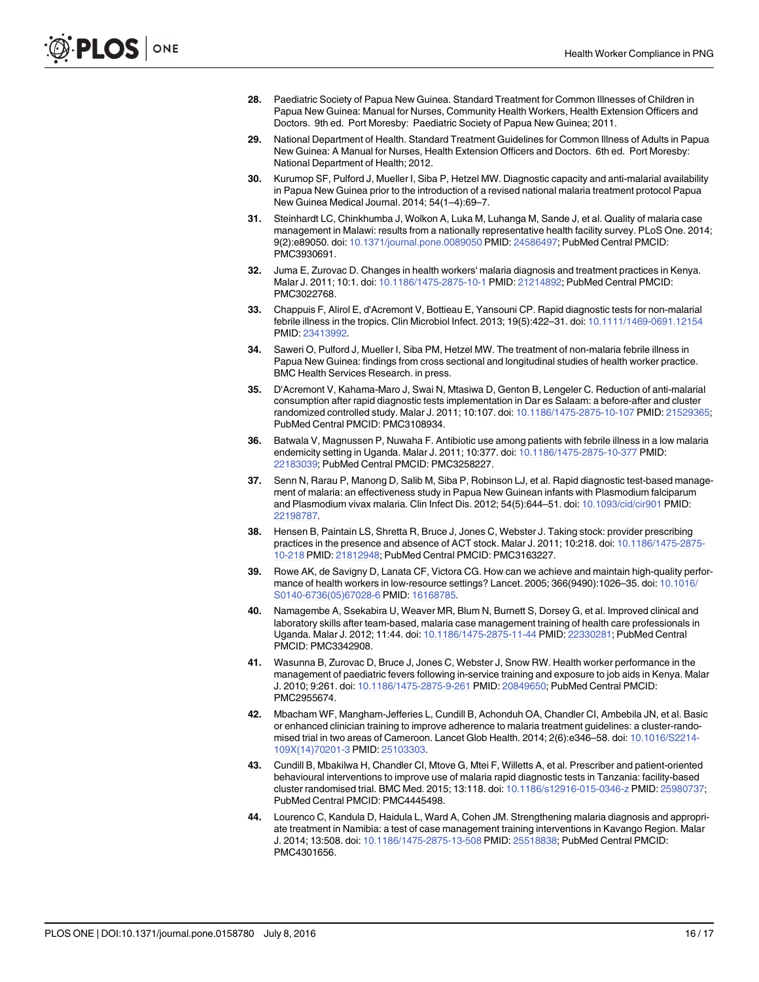- <span id="page-15-0"></span>[28.](#page-3-0) Paediatric Society of Papua New Guinea. Standard Treatment for Common Illnesses of Children in Papua New Guinea: Manual for Nurses, Community Health Workers, Health Extension Officers and Doctors. 9th ed. Port Moresby: Paediatric Society of Papua New Guinea; 2011.
- [29.](#page-3-0) National Department of Health. Standard Treatment Guidelines for Common Illness of Adults in Papua New Guinea: A Manual for Nurses, Health Extension Officers and Doctors. 6th ed. Port Moresby: National Department of Health; 2012.
- [30.](#page-3-0) Kurumop SF, Pulford J, Mueller I, Siba P, Hetzel MW. Diagnostic capacity and anti-malarial availability in Papua New Guinea prior to the introduction of a revised national malaria treatment protocol Papua New Guinea Medical Journal. 2014; 54(1–4):69–7.
- [31.](#page-10-0) Steinhardt LC, Chinkhumba J, Wolkon A, Luka M, Luhanga M, Sande J, et al. Quality of malaria case management in Malawi: results from a nationally representative health facility survey. PLoS One. 2014; 9(2):e89050. doi: [10.1371/journal.pone.0089050](http://dx.doi.org/10.1371/journal.pone.0089050) PMID: [24586497;](http://www.ncbi.nlm.nih.gov/pubmed/24586497) PubMed Central PMCID: PMC3930691.
- [32.](#page-10-0) Juma E, Zurovac D. Changes in health workers' malaria diagnosis and treatment practices in Kenya. Malar J. 2011; 10:1. doi: [10.1186/1475-2875-10-1](http://dx.doi.org/10.1186/1475-2875-10-1) PMID: [21214892](http://www.ncbi.nlm.nih.gov/pubmed/21214892); PubMed Central PMCID: PMC3022768.
- [33.](#page-11-0) Chappuis F, Alirol E, d'Acremont V, Bottieau E, Yansouni CP. Rapid diagnostic tests for non-malarial febrile illness in the tropics. Clin Microbiol Infect. 2013; 19(5):422–31. doi: [10.1111/1469-0691.12154](http://dx.doi.org/10.1111/1469-0691.12154) PMID: [23413992.](http://www.ncbi.nlm.nih.gov/pubmed/23413992)
- Saweri O, Pulford J, Mueller I, Siba PM, Hetzel MW. The treatment of non-malaria febrile illness in Papua New Guinea: findings from cross sectional and longitudinal studies of health worker practice. BMC Health Services Research. in press.
- 35. D'Acremont V, Kahama-Maro J, Swai N, Mtasiwa D, Genton B, Lengeler C. Reduction of anti-malarial consumption after rapid diagnostic tests implementation in Dar es Salaam: a before-after and cluster randomized controlled study. Malar J. 2011; 10:107. doi: [10.1186/1475-2875-10-107](http://dx.doi.org/10.1186/1475-2875-10-107) PMID: [21529365;](http://www.ncbi.nlm.nih.gov/pubmed/21529365) PubMed Central PMCID: PMC3108934.
- [36.](#page-11-0) Batwala V, Magnussen P, Nuwaha F. Antibiotic use among patients with febrile illness in a low malaria endemicity setting in Uganda. Malar J. 2011; 10:377. doi: [10.1186/1475-2875-10-377](http://dx.doi.org/10.1186/1475-2875-10-377) PMID: [22183039](http://www.ncbi.nlm.nih.gov/pubmed/22183039); PubMed Central PMCID: PMC3258227.
- [37.](#page-11-0) Senn N, Rarau P, Manong D, Salib M, Siba P, Robinson LJ, et al. Rapid diagnostic test-based management of malaria: an effectiveness study in Papua New Guinean infants with Plasmodium falciparum and Plasmodium vivax malaria. Clin Infect Dis. 2012; 54(5):644–51. doi: [10.1093/cid/cir901](http://dx.doi.org/10.1093/cid/cir901) PMID: [22198787](http://www.ncbi.nlm.nih.gov/pubmed/22198787).
- [38.](#page-11-0) Hensen B, Paintain LS, Shretta R, Bruce J, Jones C, Webster J. Taking stock: provider prescribing practices in the presence and absence of ACT stock. Malar J. 2011; 10:218. doi: [10.1186/1475-2875-](http://dx.doi.org/10.1186/1475-2875-10-218) [10-218](http://dx.doi.org/10.1186/1475-2875-10-218) PMID: [21812948](http://www.ncbi.nlm.nih.gov/pubmed/21812948); PubMed Central PMCID: PMC3163227.
- [39.](#page-11-0) Rowe AK, de Savigny D, Lanata CF, Victora CG. How can we achieve and maintain high-quality performance of health workers in low-resource settings? Lancet. 2005; 366(9490):1026–35. doi: [10.1016/](http://dx.doi.org/10.1016/S0140-6736(05)67028-6) [S0140-6736\(05\)67028-6](http://dx.doi.org/10.1016/S0140-6736(05)67028-6) PMID: [16168785.](http://www.ncbi.nlm.nih.gov/pubmed/16168785)
- [40.](#page-11-0) Namagembe A, Ssekabira U, Weaver MR, Blum N, Burnett S, Dorsey G, et al. Improved clinical and laboratory skills after team-based, malaria case management training of health care professionals in Uganda. Malar J. 2012; 11:44. doi: [10.1186/1475-2875-11-44](http://dx.doi.org/10.1186/1475-2875-11-44) PMID: [22330281;](http://www.ncbi.nlm.nih.gov/pubmed/22330281) PubMed Central PMCID: PMC3342908.
- 41. Wasunna B, Zurovac D, Bruce J, Jones C, Webster J, Snow RW. Health worker performance in the management of paediatric fevers following in-service training and exposure to job aids in Kenya. Malar J. 2010; 9:261. doi: [10.1186/1475-2875-9-261](http://dx.doi.org/10.1186/1475-2875-9-261) PMID: [20849650;](http://www.ncbi.nlm.nih.gov/pubmed/20849650) PubMed Central PMCID: PMC2955674.
- [42.](#page-11-0) Mbacham WF, Mangham-Jefferies L, Cundill B, Achonduh OA, Chandler CI, Ambebila JN, et al. Basic or enhanced clinician training to improve adherence to malaria treatment guidelines: a cluster-rando-mised trial in two areas of Cameroon. Lancet Glob Health. 2014; 2(6):e346-58. doi: [10.1016/S2214-](http://dx.doi.org/10.1016/S2214-109X(14)70201-3) [109X\(14\)70201-3](http://dx.doi.org/10.1016/S2214-109X(14)70201-3) PMID: [25103303](http://www.ncbi.nlm.nih.gov/pubmed/25103303).
- [43.](#page-12-0) Cundill B, Mbakilwa H, Chandler CI, Mtove G, Mtei F, Willetts A, et al. Prescriber and patient-oriented behavioural interventions to improve use of malaria rapid diagnostic tests in Tanzania: facility-based cluster randomised trial. BMC Med. 2015; 13:118. doi: [10.1186/s12916-015-0346-z](http://dx.doi.org/10.1186/s12916-015-0346-z) PMID: [25980737](http://www.ncbi.nlm.nih.gov/pubmed/25980737); PubMed Central PMCID: PMC4445498.
- [44.](#page-12-0) Lourenco C, Kandula D, Haidula L, Ward A, Cohen JM. Strengthening malaria diagnosis and appropriate treatment in Namibia: a test of case management training interventions in Kavango Region. Malar J. 2014; 13:508. doi: [10.1186/1475-2875-13-508](http://dx.doi.org/10.1186/1475-2875-13-508) PMID: [25518838](http://www.ncbi.nlm.nih.gov/pubmed/25518838); PubMed Central PMCID: PMC4301656.